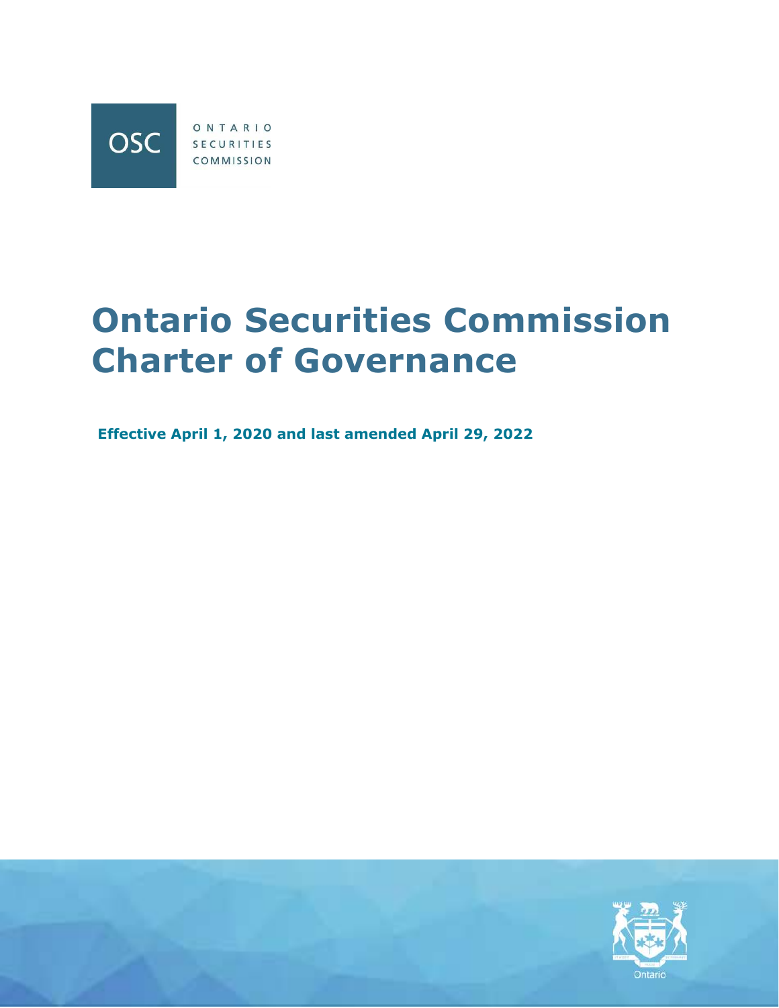

# **Ontario Securities Commission Charter of Governance**

**Effective April 1, 2020 and last amended April 29, 2022**

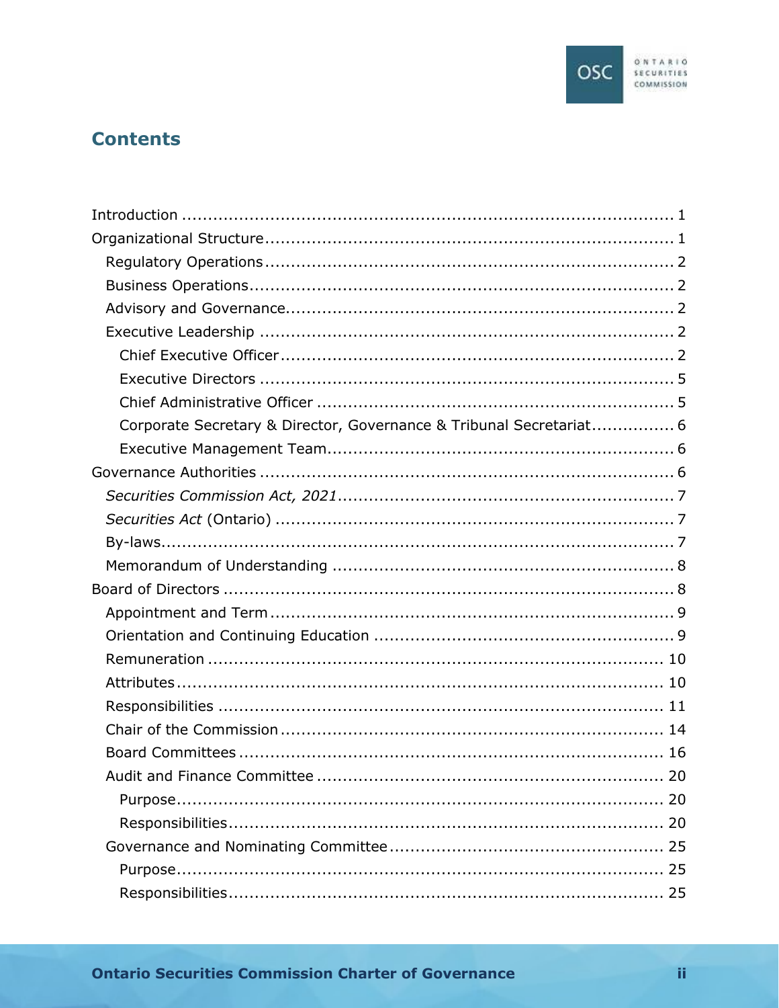

## **Contents**

| Corporate Secretary & Director, Governance & Tribunal Secretariat 6 |  |
|---------------------------------------------------------------------|--|
|                                                                     |  |
|                                                                     |  |
|                                                                     |  |
|                                                                     |  |
|                                                                     |  |
|                                                                     |  |
|                                                                     |  |
|                                                                     |  |
|                                                                     |  |
|                                                                     |  |
|                                                                     |  |
|                                                                     |  |
|                                                                     |  |
|                                                                     |  |
|                                                                     |  |
|                                                                     |  |
|                                                                     |  |
|                                                                     |  |
|                                                                     |  |
|                                                                     |  |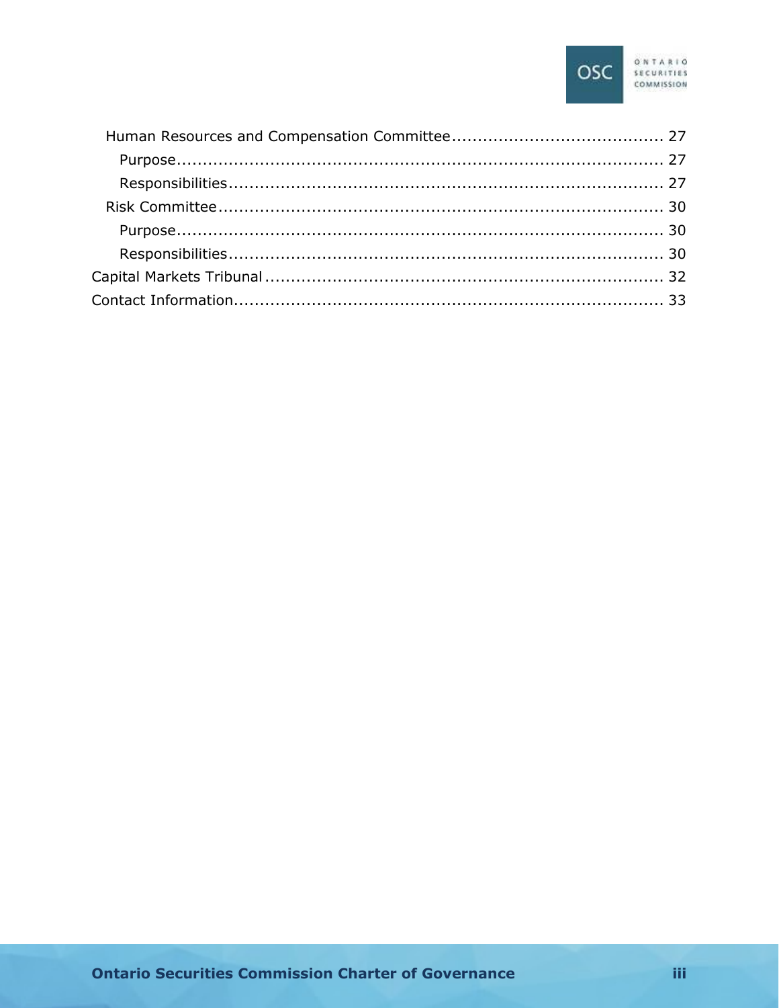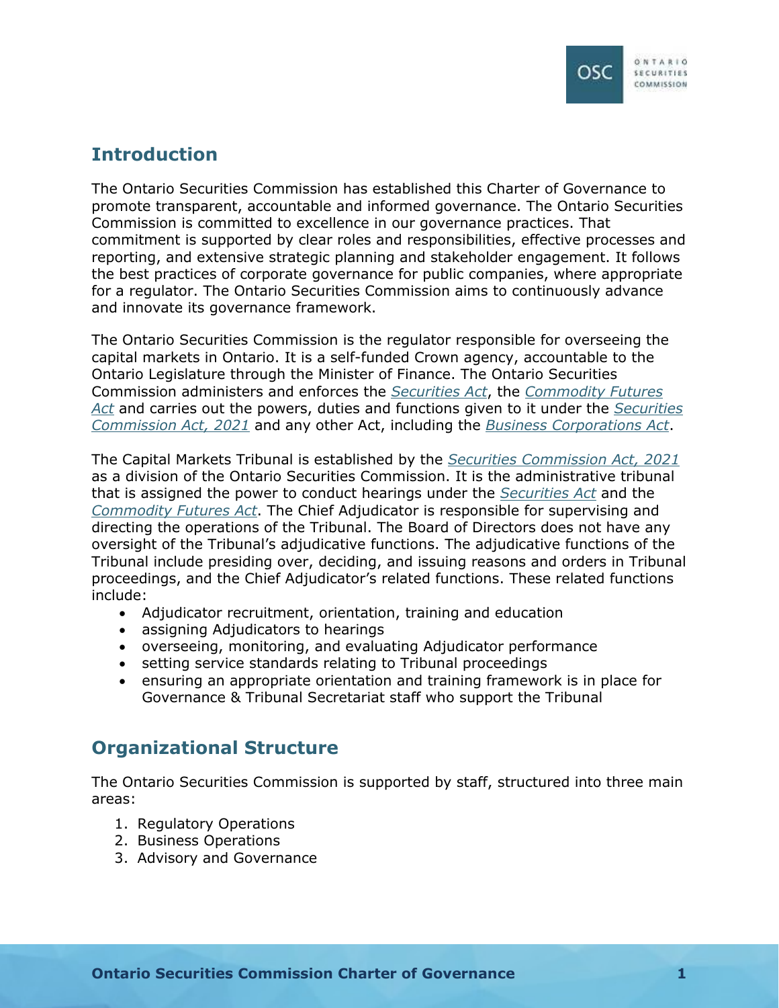## <span id="page-3-0"></span>**Introduction**

The Ontario Securities Commission has established this Charter of Governance to promote transparent, accountable and informed governance. The Ontario Securities Commission is committed to excellence in our governance practices. That commitment is supported by clear roles and responsibilities, effective processes and reporting, and extensive strategic planning and stakeholder engagement. It follows the best practices of corporate governance for public companies, where appropriate for a regulator. The Ontario Securities Commission aims to continuously advance and innovate its governance framework.

The Ontario Securities Commission is the regulator responsible for overseeing the capital markets in Ontario. It is a self-funded Crown agency, accountable to the Ontario Legislature through the Minister of Finance. The Ontario Securities Commission administers and enforces the *[Securities Act](https://www.ontario.ca/laws/statute/90s05)*, the *[Commodity Futures](https://www.ontario.ca/laws/statute/90c20)  Act* [and carries out the powers, duties and functions given to it under the](https://www.ontario.ca/laws/statute/90c20) *[Securities](https://www.ontario.ca/laws/statute/21s08)  Commission Act, 2021* [and any other Act, including the](https://www.ontario.ca/laws/statute/21s08) *[Business Corporations Act](https://www.ontario.ca/laws/statute/90b16)*.

The Capital Markets Tribunal is established by the *[Securities Commission Act, 2021](https://www.ontario.ca/laws/statute/21s08)* as a division of the Ontario Securities Commission. It is the administrative tribunal that is assigned the power to conduct hearings under the *[Securities Act](https://www.ontario.ca/laws/statute/90s05)* and the *[Commodity Futures Act](https://www.ontario.ca/laws/statute/90c20)*. The Chief Adjudicator is responsible for supervising and directing the operations of the Tribunal. The Board of Directors does not have any oversight of the Tribunal's adjudicative functions. The adjudicative functions of the Tribunal include presiding over, deciding, and issuing reasons and orders in Tribunal proceedings, and the Chief Adjudicator's related functions. These related functions include:

- Adjudicator recruitment, orientation, training and education
- assigning Adjudicators to hearings
- overseeing, monitoring, and evaluating Adjudicator performance
- setting service standards relating to Tribunal proceedings
- ensuring an appropriate orientation and training framework is in place for Governance & Tribunal Secretariat staff who support the Tribunal

## <span id="page-3-1"></span>**Organizational Structure**

The Ontario Securities Commission is supported by staff, structured into three main areas:

- 1. Regulatory Operations
- 2. Business Operations
- 3. Advisory and Governance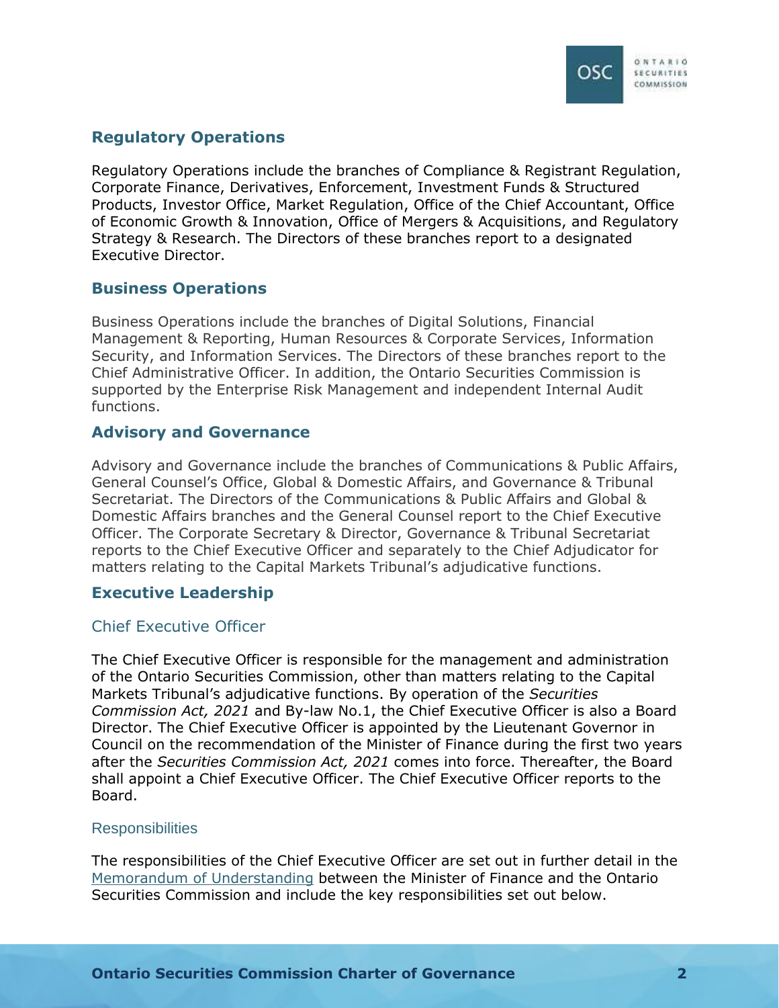

## <span id="page-4-0"></span>**Regulatory Operations**

Regulatory Operations include the branches of Compliance & Registrant Regulation, Corporate Finance, Derivatives, Enforcement, Investment Funds & Structured Products, Investor Office, Market Regulation, Office of the Chief Accountant, Office of Economic Growth & Innovation, Office of Mergers & Acquisitions, and Regulatory Strategy & Research. The Directors of these branches report to a designated Executive Director.

## <span id="page-4-1"></span>**Business Operations**

Business Operations include the branches of Digital Solutions, Financial Management & Reporting, Human Resources & Corporate Services, Information Security, and Information Services. The Directors of these branches report to the Chief Administrative Officer. In addition, the Ontario Securities Commission is supported by the Enterprise Risk Management and independent Internal Audit functions.

## <span id="page-4-2"></span>**Advisory and Governance**

Advisory and Governance include the branches of Communications & Public Affairs, General Counsel's Office, Global & Domestic Affairs, and Governance & Tribunal Secretariat. The Directors of the Communications & Public Affairs and Global & Domestic Affairs branches and the General Counsel report to the Chief Executive Officer. The Corporate Secretary & Director, Governance & Tribunal Secretariat reports to the Chief Executive Officer and separately to the Chief Adjudicator for matters relating to the Capital Markets Tribunal's adjudicative functions.

## <span id="page-4-3"></span>**Executive Leadership**

## <span id="page-4-4"></span>Chief Executive Officer

The Chief Executive Officer is responsible for the management and administration of the Ontario Securities Commission, other than matters relating to the Capital Markets Tribunal's adjudicative functions. By operation of the *Securities Commission Act, 2021* and By-law No.1, the Chief Executive Officer is also a Board Director. The Chief Executive Officer is appointed by the Lieutenant Governor in Council on the recommendation of the Minister of Finance during the first two years after the *Securities Commission Act, 2021* comes into force. Thereafter, the Board shall appoint a Chief Executive Officer. The Chief Executive Officer reports to the Board.

## **Responsibilities**

The responsibilities of the Chief Executive Officer are set out in further detail in the [Memorandum of Understanding](https://www.osc.ca/en/about-us/domestic-and-international-engagement/domestic-mous/memorandum-understanding-between) between the Minister of Finance and the Ontario Securities Commission and include the key responsibilities set out below.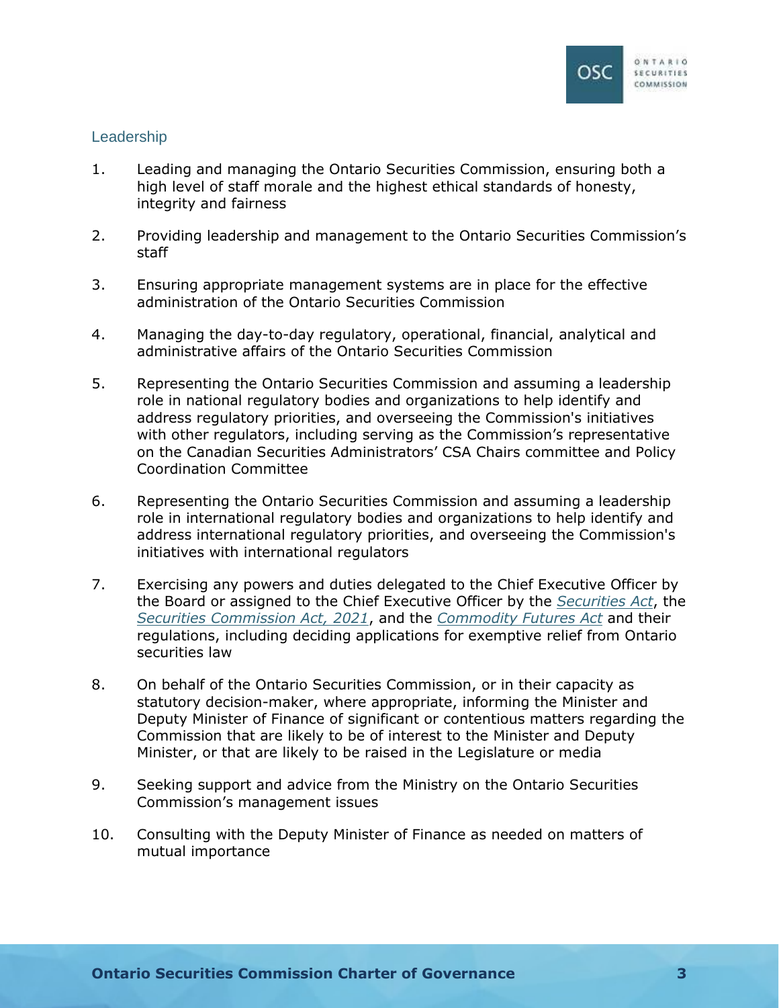

## Leadership

- 1. Leading and managing the Ontario Securities Commission, ensuring both a high level of staff morale and the highest ethical standards of honesty, integrity and fairness
- 2. Providing leadership and management to the Ontario Securities Commission's staff
- 3. Ensuring appropriate management systems are in place for the effective administration of the Ontario Securities Commission
- 4. Managing the day-to-day regulatory, operational, financial, analytical and administrative affairs of the Ontario Securities Commission
- 5. Representing the Ontario Securities Commission and assuming a leadership role in national regulatory bodies and organizations to help identify and address regulatory priorities, and overseeing the Commission's initiatives with other regulators, including serving as the Commission's representative on the Canadian Securities Administrators' CSA Chairs committee and Policy Coordination Committee
- 6. Representing the Ontario Securities Commission and assuming a leadership role in international regulatory bodies and organizations to help identify and address international regulatory priorities, and overseeing the Commission's initiatives with international regulators
- 7. Exercising any powers and duties delegated to the Chief Executive Officer by the Board or assigned to the Chief Executive Officer by the *[Securities Act](https://www.ontario.ca/laws/statute/90s05)*, the *[Securities Commission Act, 2021](https://www.ontario.ca/laws/statute/21s08)*, and the *[Commodity Futures Act](https://www.ontario.ca/laws/statute/90c20)* and their regulations, including deciding applications for exemptive relief from Ontario securities law
- 8. On behalf of the Ontario Securities Commission, or in their capacity as statutory decision-maker, where appropriate, informing the Minister and Deputy Minister of Finance of significant or contentious matters regarding the Commission that are likely to be of interest to the Minister and Deputy Minister, or that are likely to be raised in the Legislature or media
- 9. Seeking support and advice from the Ministry on the Ontario Securities Commission's management issues
- 10. Consulting with the Deputy Minister of Finance as needed on matters of mutual importance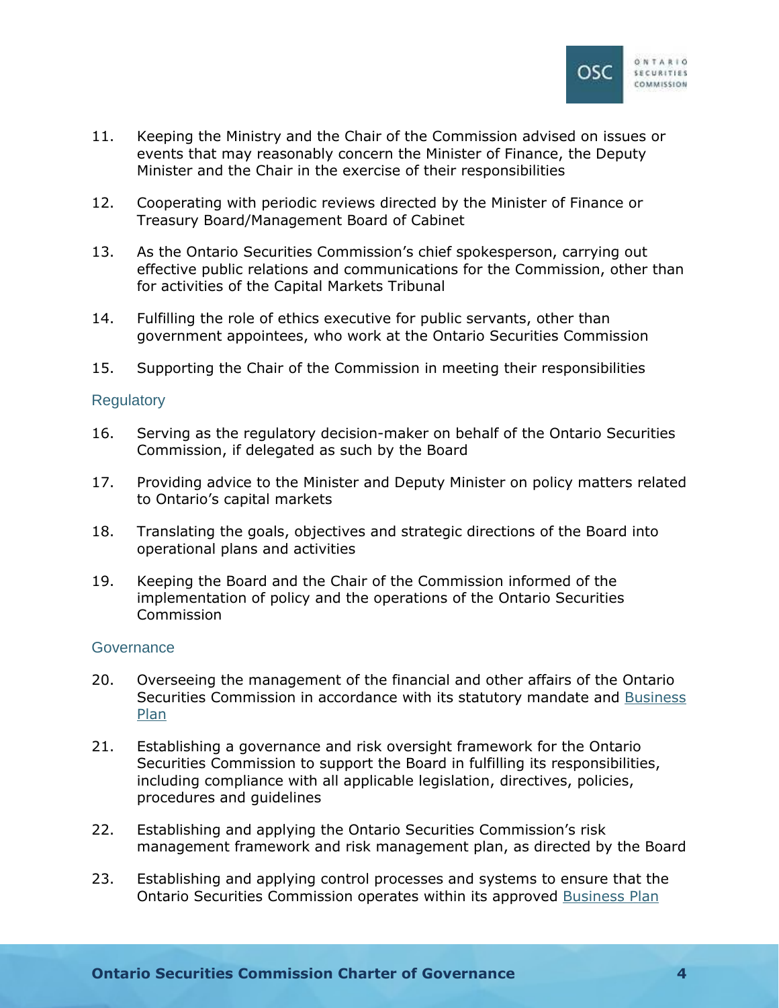

- 11. Keeping the Ministry and the Chair of the Commission advised on issues or events that may reasonably concern the Minister of Finance, the Deputy Minister and the Chair in the exercise of their responsibilities
- 12. Cooperating with periodic reviews directed by the Minister of Finance or Treasury Board/Management Board of Cabinet
- 13. As the Ontario Securities Commission's chief spokesperson, carrying out effective public relations and communications for the Commission, other than for activities of the Capital Markets Tribunal
- 14. Fulfilling the role of ethics executive for public servants, other than government appointees, who work at the Ontario Securities Commission
- 15. Supporting the Chair of the Commission in meeting their responsibilities

### **Regulatory**

- 16. Serving as the regulatory decision-maker on behalf of the Ontario Securities Commission, if delegated as such by the Board
- 17. Providing advice to the Minister and Deputy Minister on policy matters related to Ontario's capital markets
- 18. Translating the goals, objectives and strategic directions of the Board into operational plans and activities
- 19. Keeping the Board and the Chair of the Commission informed of the implementation of policy and the operations of the Ontario Securities Commission

#### **Governance**

- 20. Overseeing the management of the financial and other affairs of the Ontario Securities Commission in accordance with its statutory mandate and [Business](https://www.osc.ca/en/about-us/accountability/osc-business-plan)  [Plan](https://www.osc.ca/en/about-us/accountability/osc-business-plan)
- 21. Establishing a governance and risk oversight framework for the Ontario Securities Commission to support the Board in fulfilling its responsibilities, including compliance with all applicable legislation, directives, policies, procedures and guidelines
- 22. Establishing and applying the Ontario Securities Commission's risk management framework and risk management plan, as directed by the Board
- 23. Establishing and applying control processes and systems to ensure that the Ontario Securities Commission operates within its approved [Business Plan](https://www.osc.ca/en/about-us/accountability/osc-business-plan)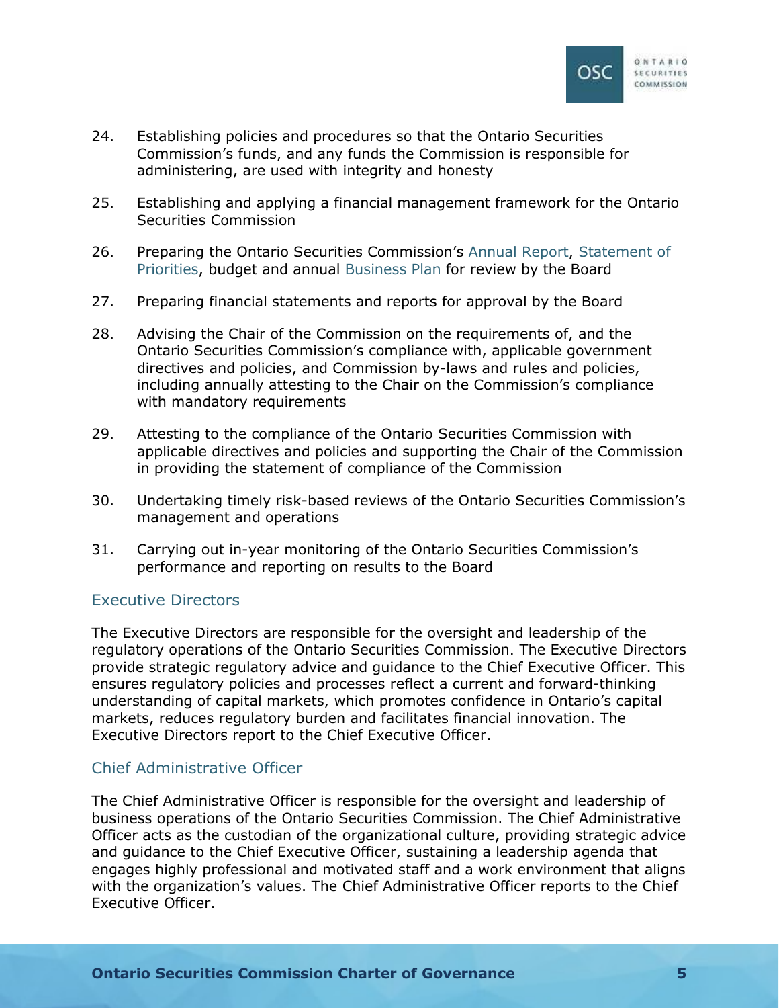

- 24. Establishing policies and procedures so that the Ontario Securities Commission's funds, and any funds the Commission is responsible for administering, are used with integrity and honesty
- 25. Establishing and applying a financial management framework for the Ontario Securities Commission
- 26. Preparing the Ontario Securities Commission's [Annual Report](https://www.osc.ca/en/about-us/accountability/osc-annual-report), [Statement of](https://www.osc.ca/en/about-us/accountability/osc-statement-priorities)  [Priorities, budget and annual Business Plan](https://www.osc.ca/en/about-us/accountability/osc-statement-priorities) for review by the Board
- 27. Preparing financial statements and reports for approval by the Board
- 28. Advising the Chair of the Commission on the requirements of, and the Ontario Securities Commission's compliance with, applicable government directives and policies, and Commission by-laws and rules and policies, including annually attesting to the Chair on the Commission's compliance with mandatory requirements
- 29. Attesting to the compliance of the Ontario Securities Commission with applicable directives and policies and supporting the Chair of the Commission in providing the statement of compliance of the Commission
- 30. Undertaking timely risk-based reviews of the Ontario Securities Commission's management and operations
- 31. Carrying out in-year monitoring of the Ontario Securities Commission's performance and reporting on results to the Board

## <span id="page-7-0"></span>Executive Directors

The Executive Directors are responsible for the oversight and leadership of the regulatory operations of the Ontario Securities Commission. The Executive Directors provide strategic regulatory advice and guidance to the Chief Executive Officer. This ensures regulatory policies and processes reflect a current and forward-thinking understanding of capital markets, which promotes confidence in Ontario's capital markets, reduces regulatory burden and facilitates financial innovation. The Executive Directors report to the Chief Executive Officer.

## <span id="page-7-1"></span>Chief Administrative Officer

The Chief Administrative Officer is responsible for the oversight and leadership of business operations of the Ontario Securities Commission. The Chief Administrative Officer acts as the custodian of the organizational culture, providing strategic advice and guidance to the Chief Executive Officer, sustaining a leadership agenda that engages highly professional and motivated staff and a work environment that aligns with the organization's values. The Chief Administrative Officer reports to the Chief Executive Officer.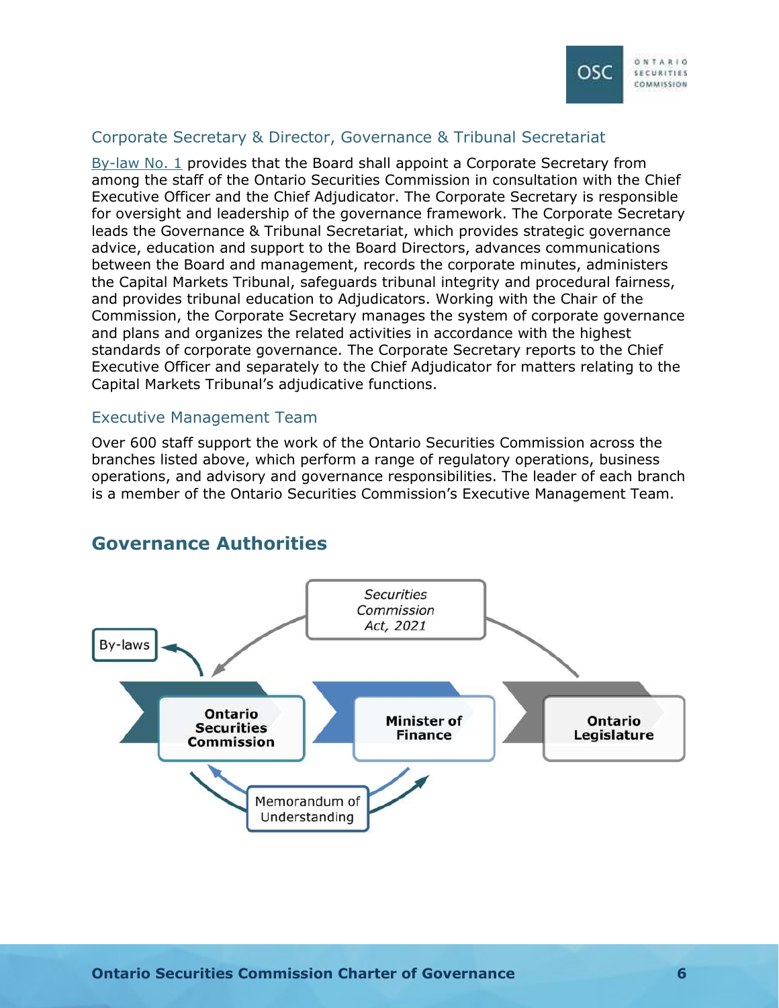

## <span id="page-8-0"></span>Corporate Secretary & Director, Governance & Tribunal Secretariat

[By-law No. 1](https://www.osc.ca/en/about-us/governance/osc-law-no-1) provides that the Board shall appoint a Corporate Secretary from among the staff of the Ontario Securities Commission in consultation with the Chief Executive Officer and the Chief Adjudicator. The Corporate Secretary is responsible for oversight and leadership of the governance framework. The Corporate Secretary leads the Governance & Tribunal Secretariat, which provides strategic governance advice, education and support to the Board Directors, advances communications between the Board and management, records the corporate minutes, administers the Capital Markets Tribunal, safeguards tribunal integrity and procedural fairness, and provides tribunal education to Adjudicators. Working with the Chair of the Commission, the Corporate Secretary manages the system of corporate governance and plans and organizes the related activities in accordance with the highest standards of corporate governance. The Corporate Secretary reports to the Chief Executive Officer and separately to the Chief Adjudicator for matters relating to the Capital Markets Tribunal's adjudicative functions.

### <span id="page-8-1"></span>Executive Management Team

Over 600 staff support the work of the Ontario Securities Commission across the branches listed above, which perform a range of regulatory operations, business operations, and advisory and governance responsibilities. The leader of each branch is a member of the Ontario Securities Commission's Executive Management Team.



## <span id="page-8-2"></span>**Governance Authorities**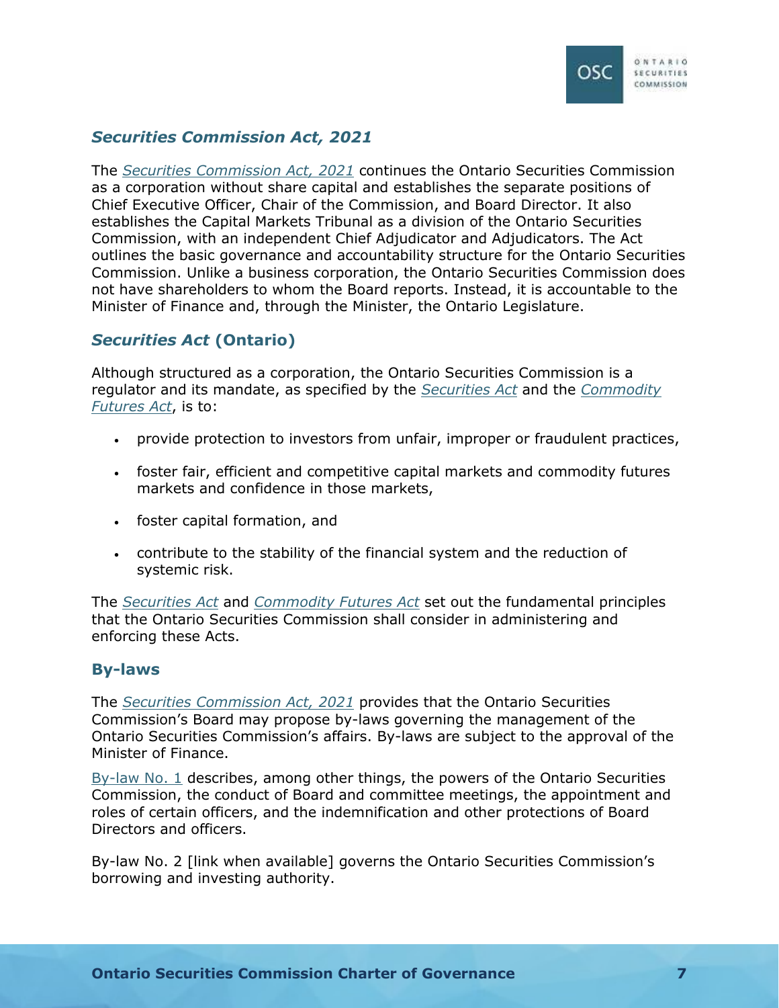

## <span id="page-9-0"></span>*Securities Commission Act, 2021*

The *[Securities Commission Act, 2021](https://www.ontario.ca/laws/statute/21s08)* continues the Ontario Securities Commission as a corporation without share capital and establishes the separate positions of Chief Executive Officer, Chair of the Commission, and Board Director. It also establishes the Capital Markets Tribunal as a division of the Ontario Securities Commission, with an independent Chief Adjudicator and Adjudicators. The Act outlines the basic governance and accountability structure for the Ontario Securities Commission. Unlike a business corporation, the Ontario Securities Commission does not have shareholders to whom the Board reports. Instead, it is accountable to the Minister of Finance and, through the Minister, the Ontario Legislature.

## <span id="page-9-1"></span>*Securities Act* **(Ontario)**

Although structured as a corporation, the Ontario Securities Commission is a regulator and its mandate, as specified by the *[Securities Act](https://www.ontario.ca/laws/statute/90s05)* and the *[Commodity](https://www.ontario.ca/laws/statute/90c20#BK1)  [Futures Act](https://www.ontario.ca/laws/statute/90c20#BK1)*, is to:

- provide protection to investors from unfair, improper or fraudulent practices,
- foster fair, efficient and competitive capital markets and commodity futures markets and confidence in those markets,
- foster capital formation, and
- contribute to the stability of the financial system and the reduction of systemic risk.

The *[Securities Act](https://www.ontario.ca/laws/statute/90s05)* and *[Commodity Futures Act](https://www.ontario.ca/laws/statute/90c20#BK1)* set out the fundamental principles that the Ontario Securities Commission shall consider in administering and enforcing these Acts.

## <span id="page-9-2"></span>**By-laws**

The *[Securities Commission Act, 2021](https://www.ontario.ca/laws/statute/21s08)* provides that the Ontario Securities Commission's Board may propose by-laws governing the management of the Ontario Securities Commission's affairs. By-laws are subject to the approval of the Minister of Finance.

[By-law No. 1](https://www.osc.ca/en/about-us/governance/osc-law-no-1) describes, among other things, the powers of the Ontario Securities Commission, the conduct of Board and committee meetings, the appointment and roles of certain officers, and the indemnification and other protections of Board Directors and officers.

By-law No. 2 [link when available] governs the Ontario Securities Commission's borrowing and investing authority.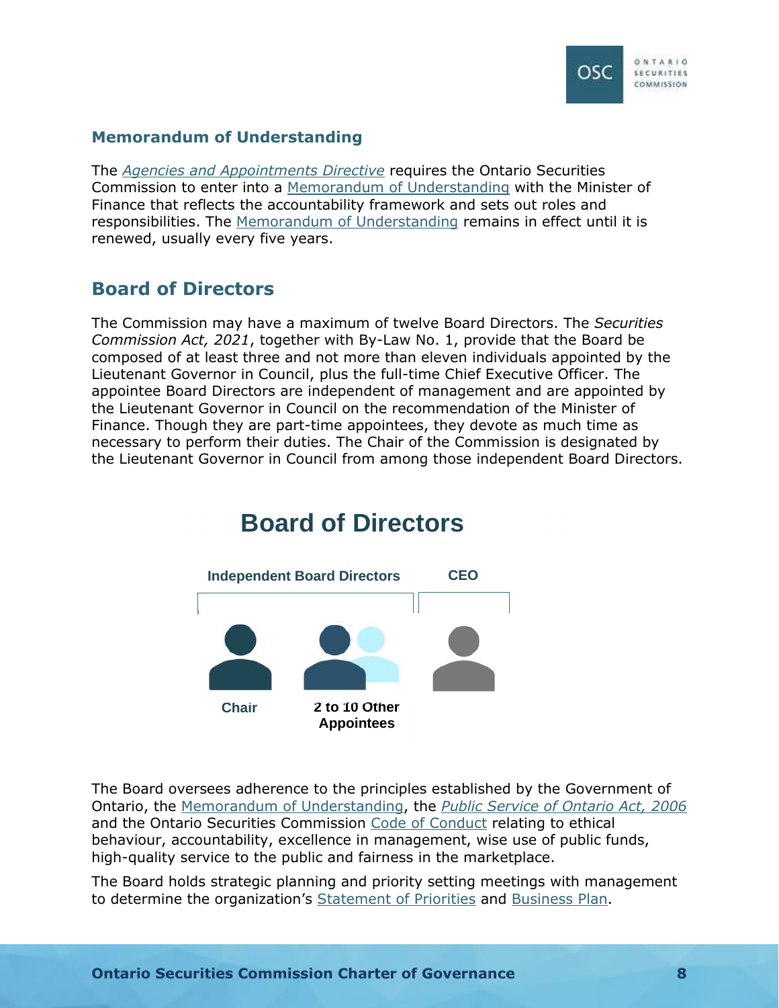

## <span id="page-10-0"></span>**Memorandum of Understanding**

The *[Agencies and Appointments Directive](https://www.ontario.ca/page/agencies-and-appointments-directive)* requires the Ontario Securities Commission to enter into a [Memorandum of Understanding](https://www.osc.ca/en/about-us/domestic-and-international-engagement/domestic-mous/memorandum-understanding-between) with the Minister of Finance that reflects the accountability framework and sets out roles and responsibilities. The [Memorandum of Understanding](https://www.osc.ca/en/about-us/domestic-and-international-engagement/domestic-mous/memorandum-understanding-between) remains in effect until it is renewed, usually every five years.

## <span id="page-10-1"></span>**Board of Directors**

The Commission may have a maximum of twelve Board Directors. The *Securities Commission Act, 2021*, together with By-Law No. 1, provide that the Board be composed of at least three and not more than eleven individuals appointed by the Lieutenant Governor in Council, plus the full-time Chief Executive Officer. The appointee Board Directors are independent of management and are appointed by the Lieutenant Governor in Council on the recommendation of the Minister of Finance. Though they are part-time appointees, they devote as much time as necessary to perform their duties. The Chair of the Commission is designated by the Lieutenant Governor in Council from among those independent Board Directors.



## The Board oversees adherence to the principles established by the Government of Ontario, the [Memorandum of Understanding](https://www.osc.ca/en/about-us/domestic-and-international-engagement/domestic-mous/memorandum-understanding-between), the *[Public Service of Ontario Act, 2006](https://www.ontario.ca/laws/statute/06p35)* and the Ontario Securities Commission [Code of Conduct](https://www.osc.ca/sites/default/files/2020-12/ga_20200915_osc-code-conduct.pdf) relating to ethical

behaviour, accountability, excellence in management, wise use of public funds, high-quality service to the public and fairness in the marketplace.

The Board holds strategic planning and priority setting meetings with management to determine the organization's [Statement of Priorities](https://www.osc.ca/en/about-us/accountability/osc-statement-priorities) and [Business Plan.](https://www.osc.ca/en/about-us/accountability/osc-business-plan)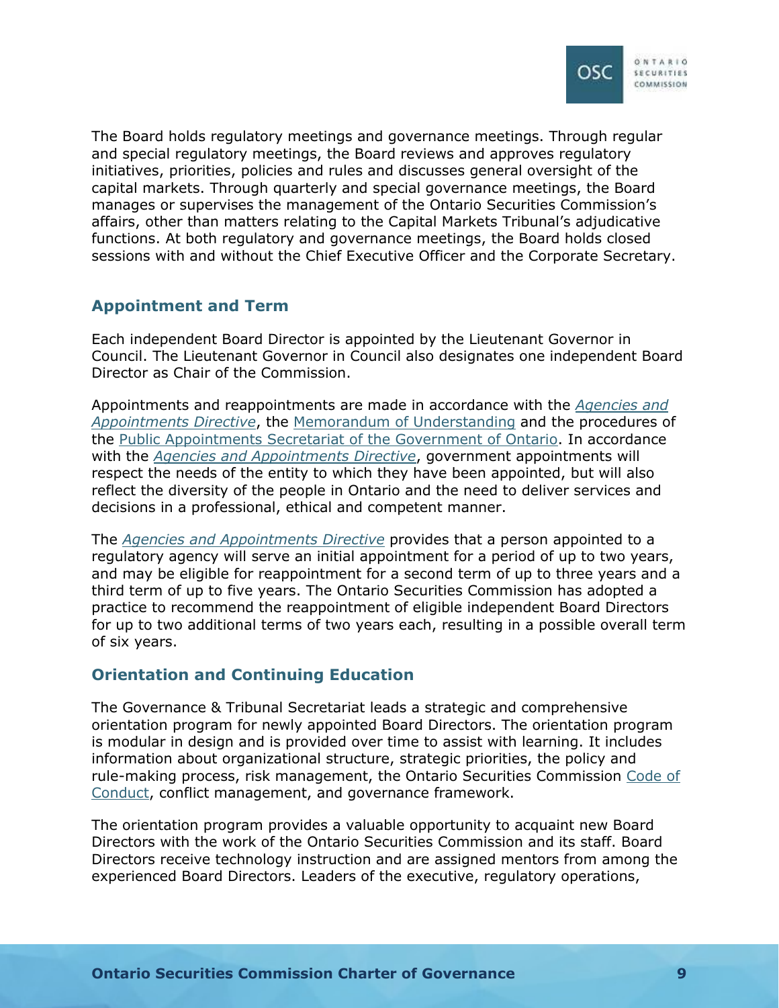

The Board holds regulatory meetings and governance meetings. Through regular and special regulatory meetings, the Board reviews and approves regulatory initiatives, priorities, policies and rules and discusses general oversight of the capital markets. Through quarterly and special governance meetings, the Board manages or supervises the management of the Ontario Securities Commission's affairs, other than matters relating to the Capital Markets Tribunal's adjudicative functions. At both regulatory and governance meetings, the Board holds closed sessions with and without the Chief Executive Officer and the Corporate Secretary.

## <span id="page-11-0"></span>**Appointment and Term**

Each independent Board Director is appointed by the Lieutenant Governor in Council. The Lieutenant Governor in Council also designates one independent Board Director as Chair of the Commission.

Appointments and reappointments are made in accordance with the *[Agencies and](https://www.ontario.ca/page/agencies-and-appointments-directive)  Appointments Directive*[, the](https://www.ontario.ca/page/agencies-and-appointments-directive) [Memorandum of Understanding](https://www.osc.ca/en/about-us/domestic-and-international-engagement/domestic-mous/memorandum-understanding-between) and the procedures of the [Public Appointments Secretariat of the Government of Ontario.](https://www.ontario.ca/page/public-appointments) In accordance with the *[Agencies and Appointments Directive](https://www.ontario.ca/page/agencies-and-appointments-directive)*, government appointments will respect the needs of the entity to which they have been appointed, but will also reflect the diversity of the people in Ontario and the need to deliver services and decisions in a professional, ethical and competent manner.

The *[Agencies and Appointments Directive](https://www.ontario.ca/page/agencies-and-appointments-directive)* provides that a person appointed to a regulatory agency will serve an initial appointment for a period of up to two years, and may be eligible for reappointment for a second term of up to three years and a third term of up to five years. The Ontario Securities Commission has adopted a practice to recommend the reappointment of eligible independent Board Directors for up to two additional terms of two years each, resulting in a possible overall term of six years.

## <span id="page-11-1"></span>**Orientation and Continuing Education**

The Governance & Tribunal Secretariat leads a strategic and comprehensive orientation program for newly appointed Board Directors. The orientation program is modular in design and is provided over time to assist with learning. It includes information about organizational structure, strategic priorities, the policy and rule-making process, risk management, the Ontario Securities Commission [Code of](https://www.osc.ca/sites/default/files/2020-12/ga_20200915_osc-code-conduct.pdf)  [Conduct, conflict management,](https://www.osc.ca/sites/default/files/2020-12/ga_20200915_osc-code-conduct.pdf) and governance framework.

The orientation program provides a valuable opportunity to acquaint new Board Directors with the work of the Ontario Securities Commission and its staff. Board Directors receive technology instruction and are assigned mentors from among the experienced Board Directors. Leaders of the executive, regulatory operations,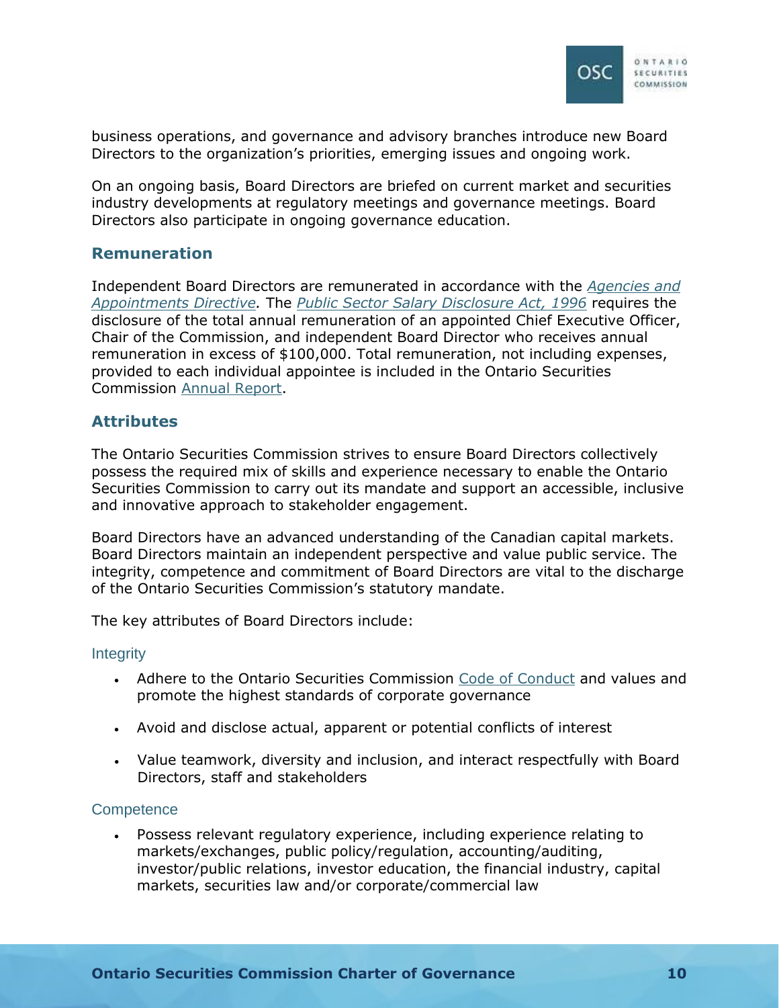

business operations, and governance and advisory branches introduce new Board Directors to the organization's priorities, emerging issues and ongoing work.

On an ongoing basis, Board Directors are briefed on current market and securities industry developments at regulatory meetings and governance meetings. Board Directors also participate in ongoing governance education.

## <span id="page-12-0"></span>**Remuneration**

Independent Board Directors are remunerated in accordance with the *[Agencies and](https://www.ontario.ca/page/agencies-and-appointments-directive)  Appointments Directive.* The *[Public Sector Salary Disclosure Act, 1996](https://www.ontario.ca/laws/statute/96p01a)* requires the disclosure of the total annual remuneration of an appointed Chief Executive Officer, Chair of the Commission, and independent Board Director who receives annual remuneration in excess of \$100,000. Total remuneration, not including expenses, provided to each individual appointee is included in the Ontario Securities Commission [Annual Report.](https://www.osc.ca/en/about-us/accountability/osc-annual-report)

## <span id="page-12-1"></span>**Attributes**

The Ontario Securities Commission strives to ensure Board Directors collectively possess the required mix of skills and experience necessary to enable the Ontario Securities Commission to carry out its mandate and support an accessible, inclusive and innovative approach to stakeholder engagement.

Board Directors have an advanced understanding of the Canadian capital markets. Board Directors maintain an independent perspective and value public service. The integrity, competence and commitment of Board Directors are vital to the discharge of the Ontario Securities Commission's statutory mandate.

The key attributes of Board Directors include:

## **Integrity**

- Adhere to the Ontario Securities Commission [Code of Conduct](https://www.osc.ca/sites/default/files/2020-12/ga_20200915_osc-code-conduct.pdf) and values and promote the highest standards of corporate governance
- Avoid and disclose actual, apparent or potential conflicts of interest
- Value teamwork, diversity and inclusion, and interact respectfully with Board Directors, staff and stakeholders

#### **Competence**

 Possess relevant regulatory experience, including experience relating to markets/exchanges, public policy/regulation, accounting/auditing, investor/public relations, investor education, the financial industry, capital markets, securities law and/or corporate/commercial law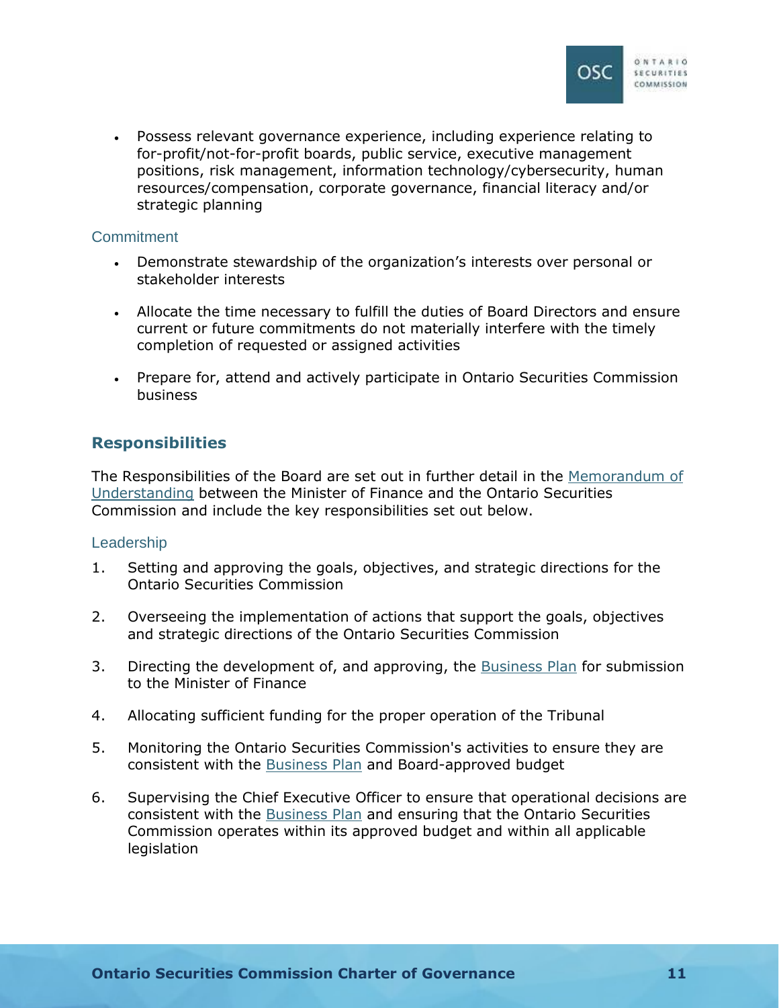

 Possess relevant governance experience, including experience relating to for-profit/not-for-profit boards, public service, executive management positions, risk management, information technology/cybersecurity, human resources/compensation, corporate governance, financial literacy and/or strategic planning

#### **Commitment**

- Demonstrate stewardship of the organization's interests over personal or stakeholder interests
- Allocate the time necessary to fulfill the duties of Board Directors and ensure current or future commitments do not materially interfere with the timely completion of requested or assigned activities
- Prepare for, attend and actively participate in Ontario Securities Commission business

## <span id="page-13-0"></span>**Responsibilities**

The Responsibilities of the Board are set out in further detail in the [Memorandum of](https://www.osc.ca/en/about-us/domestic-and-international-engagement/domestic-mous/memorandum-understanding-between)  Understanding [between the Minister of Finance and the Ontario Securities](https://www.osc.ca/en/about-us/domestic-and-international-engagement/domestic-mous/memorandum-understanding-between)  Commission and include the key responsibilities set out below.

## Leadership

- 1. Setting and approving the goals, objectives, and strategic directions for the Ontario Securities Commission
- 2. Overseeing the implementation of actions that support the goals, objectives and strategic directions of the Ontario Securities Commission
- 3. Directing the development of, and approving, the [Business Plan](https://www.osc.ca/en/about-us/accountability/osc-business-plan) for submission to the Minister of Finance
- 4. Allocating sufficient funding for the proper operation of the Tribunal
- 5. Monitoring the Ontario Securities Commission's activities to ensure they are consistent with the [Business Plan](https://www.osc.ca/en/about-us/accountability/osc-business-plan) and Board-approved budget
- 6. Supervising the Chief Executive Officer to ensure that operational decisions are consistent with the [Business Plan](https://www.osc.ca/en/about-us/accountability/osc-business-plan) and ensuring that the Ontario Securities Commission operates within its approved budget and within all applicable **legislation**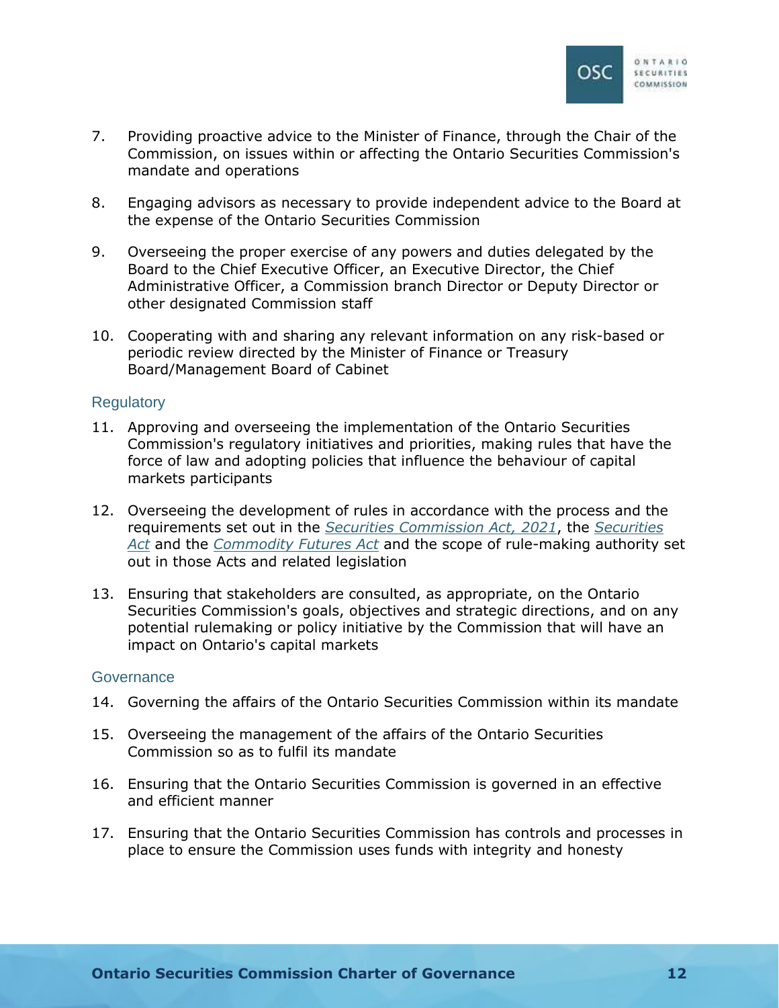

- 7. Providing proactive advice to the Minister of Finance, through the Chair of the Commission, on issues within or affecting the Ontario Securities Commission's mandate and operations
- 8. Engaging advisors as necessary to provide independent advice to the Board at the expense of the Ontario Securities Commission
- 9. Overseeing the proper exercise of any powers and duties delegated by the Board to the Chief Executive Officer, an Executive Director, the Chief Administrative Officer, a Commission branch Director or Deputy Director or other designated Commission staff
- 10. Cooperating with and sharing any relevant information on any risk-based or periodic review directed by the Minister of Finance or Treasury Board/Management Board of Cabinet

### **Regulatory**

- 11. Approving and overseeing the implementation of the Ontario Securities Commission's regulatory initiatives and priorities, making rules that have the force of law and adopting policies that influence the behaviour of capital markets participants
- 12. Overseeing the development of rules in accordance with the process and the requirements set out in the *[Securities Commission Act, 2021](https://www.ontario.ca/laws/statute/21s08)*, the *[Securities](https://www.ontario.ca/laws/statute/90s05)  Act* and the *[Commodity Futures Act](https://www.ontario.ca/laws/statute/90c20)* [and the scope of rule-making authority set](https://www.ontario.ca/laws/statute/90s05)  out in those Acts and related legislation
- 13. Ensuring that stakeholders are consulted, as appropriate, on the Ontario Securities Commission's goals, objectives and strategic directions, and on any potential rulemaking or policy initiative by the Commission that will have an impact on Ontario's capital markets

#### **Governance**

- 14. Governing the affairs of the Ontario Securities Commission within its mandate
- 15. Overseeing the management of the affairs of the Ontario Securities Commission so as to fulfil its mandate
- 16. Ensuring that the Ontario Securities Commission is governed in an effective and efficient manner
- 17. Ensuring that the Ontario Securities Commission has controls and processes in place to ensure the Commission uses funds with integrity and honesty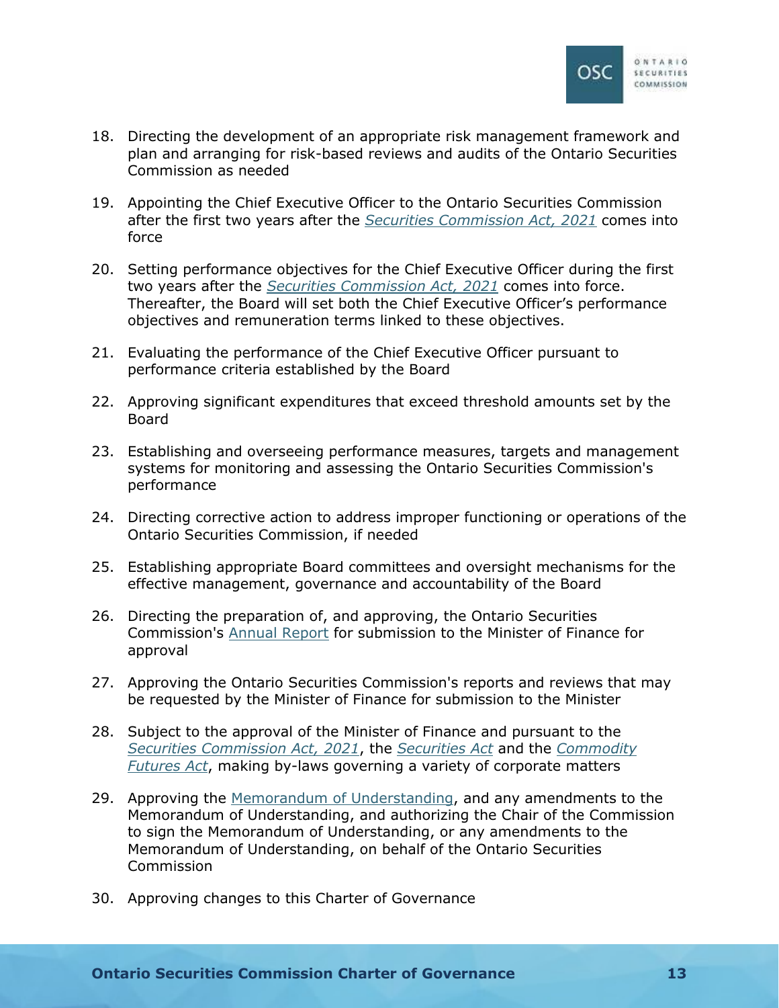

- 18. Directing the development of an appropriate risk management framework and plan and arranging for risk-based reviews and audits of the Ontario Securities Commission as needed
- 19. Appointing the Chief Executive Officer to the Ontario Securities Commission after the first two years after the *[Securities Commission Act, 2021](https://www.ontario.ca/laws/statute/21s08)* comes into force
- 20. Setting performance objectives for the Chief Executive Officer during the first two years after the *[Securities Commission Act, 2021](https://www.ontario.ca/laws/statute/21s08)* comes into force. Thereafter, the Board will set both the Chief Executive Officer's performance objectives and remuneration terms linked to these objectives.
- 21. Evaluating the performance of the Chief Executive Officer pursuant to performance criteria established by the Board
- 22. Approving significant expenditures that exceed threshold amounts set by the Board
- 23. Establishing and overseeing performance measures, targets and management systems for monitoring and assessing the Ontario Securities Commission's performance
- 24. Directing corrective action to address improper functioning or operations of the Ontario Securities Commission, if needed
- 25. Establishing appropriate Board committees and oversight mechanisms for the effective management, governance and accountability of the Board
- 26. Directing the preparation of, and approving, the Ontario Securities Commission's [Annual Report](https://www.osc.ca/en/about-us/accountability/osc-annual-report) for submission to the Minister of Finance for approval
- 27. Approving the Ontario Securities Commission's reports and reviews that may be requested by the Minister of Finance for submission to the Minister
- 28. Subject to the approval of the Minister of Finance and pursuant to the *[Securities Commission Act, 2021](https://www.ontario.ca/laws/statute/21s08)*, the *[Securities Act](https://www.ontario.ca/laws/statute/90s05)* and the *[Commodity](https://www.ontario.ca/laws/statute/90c20)  Futures Act*[, making by-laws governing a variety of corporate matters](https://www.ontario.ca/laws/statute/90c20)
- 29. Approving the [Memorandum of Understanding,](https://www.osc.ca/en/about-us/domestic-and-international-engagement/domestic-mous/memorandum-understanding-between) and any amendments to the Memorandum of Understanding, and authorizing the Chair of the Commission to sign the Memorandum of Understanding, or any amendments to the Memorandum of Understanding, on behalf of the Ontario Securities Commission
- 30. Approving changes to this Charter of Governance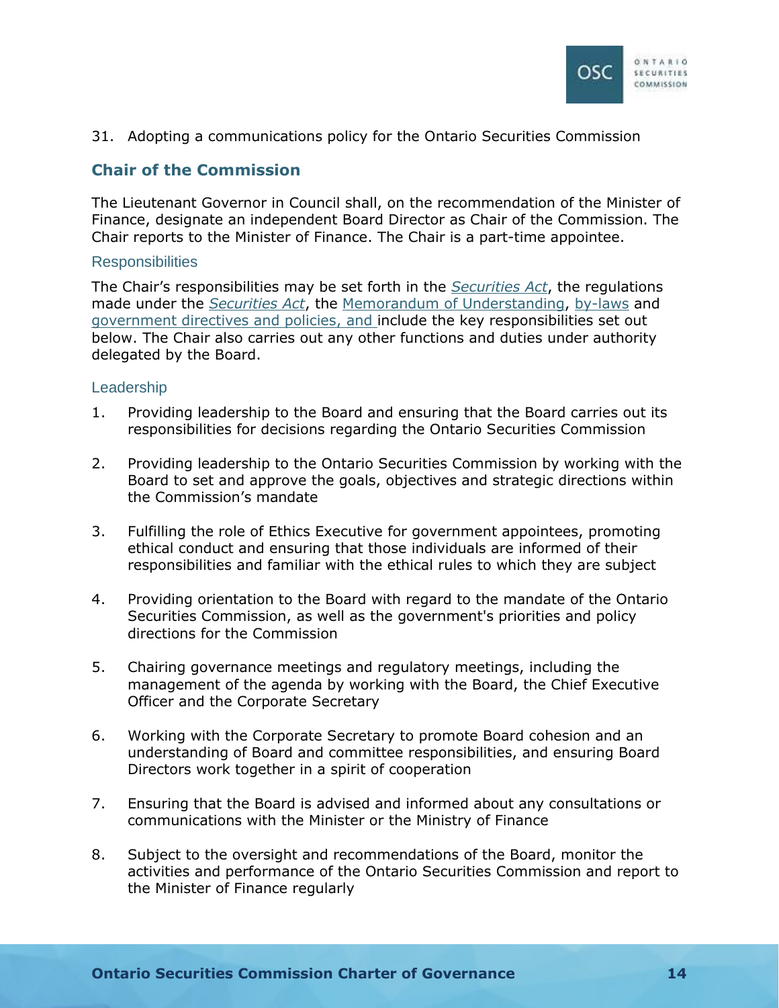

31. Adopting a communications policy for the Ontario Securities Commission

## <span id="page-16-0"></span>**Chair of the Commission**

The Lieutenant Governor in Council shall, on the recommendation of the Minister of Finance, designate an independent Board Director as Chair of the Commission. The Chair reports to the Minister of Finance. The Chair is a part-time appointee.

### **Responsibilities**

The Chair's responsibilities may be set forth in the *[Securities Act](https://www.ontario.ca/laws/statute/90s05)*, the regulations made under the *[Securities Act](https://www.ontario.ca/laws/statute/90s05)*, the [Memorandum of Understanding](https://www.osc.ca/en/about-us/domestic-and-international-engagement/domestic-mous/memorandum-understanding-between), [by-laws](https://www.osc.ca/en/about-us/governance/osc-law-no-1) and [government directives and policies](https://www.ontario.ca/page/sharing-government-directives-policies), and include the key responsibilities set out below. The Chair also carries out any other functions and duties under authority delegated by the Board.

## **Leadership**

- 1. Providing leadership to the Board and ensuring that the Board carries out its responsibilities for decisions regarding the Ontario Securities Commission
- 2. Providing leadership to the Ontario Securities Commission by working with the Board to set and approve the goals, objectives and strategic directions within the Commission's mandate
- 3. Fulfilling the role of Ethics Executive for government appointees, promoting ethical conduct and ensuring that those individuals are informed of their responsibilities and familiar with the ethical rules to which they are subject
- 4. Providing orientation to the Board with regard to the mandate of the Ontario Securities Commission, as well as the government's priorities and policy directions for the Commission
- 5. Chairing governance meetings and regulatory meetings, including the management of the agenda by working with the Board, the Chief Executive Officer and the Corporate Secretary
- 6. Working with the Corporate Secretary to promote Board cohesion and an understanding of Board and committee responsibilities, and ensuring Board Directors work together in a spirit of cooperation
- 7. Ensuring that the Board is advised and informed about any consultations or communications with the Minister or the Ministry of Finance
- 8. Subject to the oversight and recommendations of the Board, monitor the activities and performance of the Ontario Securities Commission and report to the Minister of Finance regularly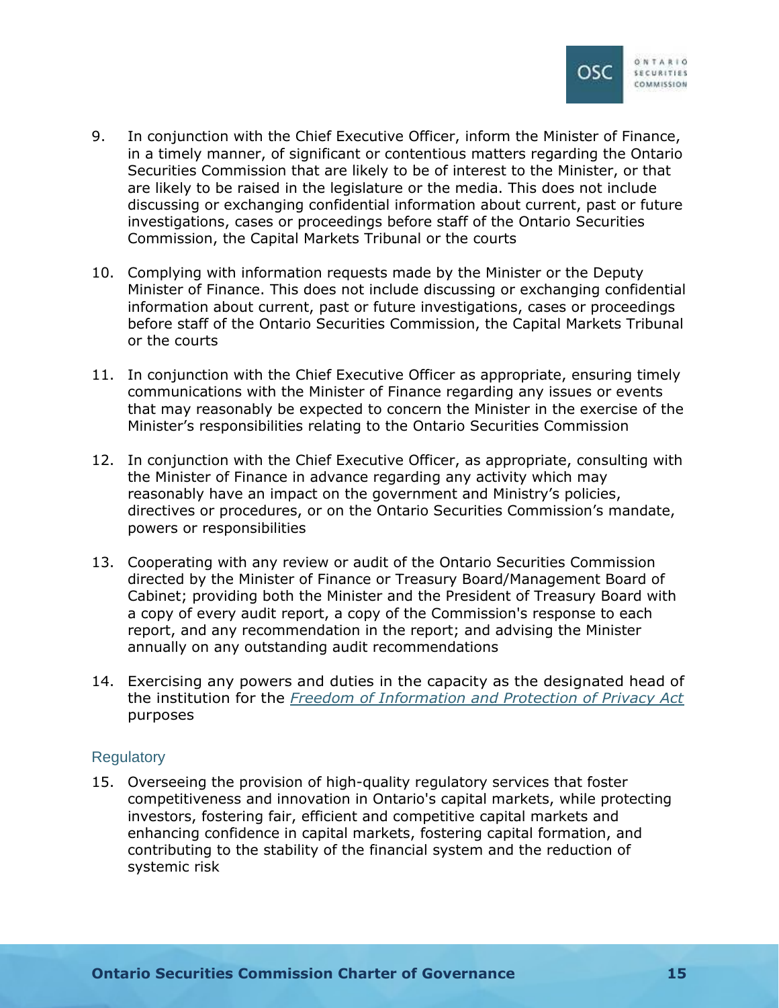

- 9. In conjunction with the Chief Executive Officer, inform the Minister of Finance, in a timely manner, of significant or contentious matters regarding the Ontario Securities Commission that are likely to be of interest to the Minister, or that are likely to be raised in the legislature or the media. This does not include discussing or exchanging confidential information about current, past or future investigations, cases or proceedings before staff of the Ontario Securities Commission, the Capital Markets Tribunal or the courts
- 10. Complying with information requests made by the Minister or the Deputy Minister of Finance. This does not include discussing or exchanging confidential information about current, past or future investigations, cases or proceedings before staff of the Ontario Securities Commission, the Capital Markets Tribunal or the courts
- 11. In conjunction with the Chief Executive Officer as appropriate, ensuring timely communications with the Minister of Finance regarding any issues or events that may reasonably be expected to concern the Minister in the exercise of the Minister's responsibilities relating to the Ontario Securities Commission
- 12. In conjunction with the Chief Executive Officer, as appropriate, consulting with the Minister of Finance in advance regarding any activity which may reasonably have an impact on the government and Ministry's policies, directives or procedures, or on the Ontario Securities Commission's mandate, powers or responsibilities
- 13. Cooperating with any review or audit of the Ontario Securities Commission directed by the Minister of Finance or Treasury Board/Management Board of Cabinet; providing both the Minister and the President of Treasury Board with a copy of every audit report, a copy of the Commission's response to each report, and any recommendation in the report; and advising the Minister annually on any outstanding audit recommendations
- 14. Exercising any powers and duties in the capacity as the designated head of the institution for the *[Freedom of Information and Protection of Privacy Act](https://www.ontario.ca/laws/statute/90f31)* purposes

#### **Regulatory**

15. Overseeing the provision of high-quality regulatory services that foster competitiveness and innovation in Ontario's capital markets, while protecting investors, fostering fair, efficient and competitive capital markets and enhancing confidence in capital markets, fostering capital formation, and contributing to the stability of the financial system and the reduction of systemic risk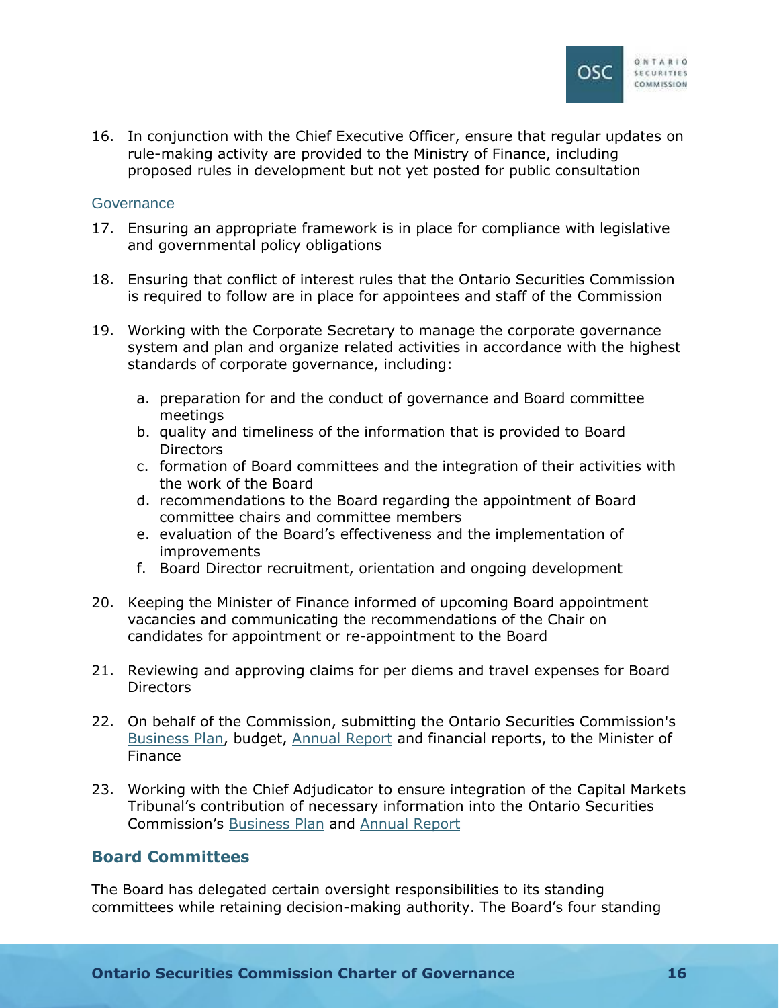

16. In conjunction with the Chief Executive Officer, ensure that regular updates on rule-making activity are provided to the Ministry of Finance, including proposed rules in development but not yet posted for public consultation

### **Governance**

- 17. Ensuring an appropriate framework is in place for compliance with legislative and governmental policy obligations
- 18. Ensuring that conflict of interest rules that the Ontario Securities Commission is required to follow are in place for appointees and staff of the Commission
- 19. Working with the Corporate Secretary to manage the corporate governance system and plan and organize related activities in accordance with the highest standards of corporate governance, including:
	- a. preparation for and the conduct of governance and Board committee meetings
	- b. quality and timeliness of the information that is provided to Board **Directors**
	- c. formation of Board committees and the integration of their activities with the work of the Board
	- d. recommendations to the Board regarding the appointment of Board committee chairs and committee members
	- e. evaluation of the Board's effectiveness and the implementation of improvements
	- f. Board Director recruitment, orientation and ongoing development
- 20. Keeping the Minister of Finance informed of upcoming Board appointment vacancies and communicating the recommendations of the Chair on candidates for appointment or re-appointment to the Board
- 21. Reviewing and approving claims for per diems and travel expenses for Board **Directors**
- 22. On behalf of the Commission, submitting the Ontario Securities Commission's [Business Plan,](https://www.osc.ca/en/about-us/accountability/osc-business-plan) budget, [Annual Report](https://www.osc.ca/en/about-us/accountability/osc-annual-report) and financial reports, to the Minister of Finance
- 23. Working with the Chief Adjudicator to ensure integration of the Capital Markets Tribunal's contribution of necessary information into the Ontario Securities Commission's [Business Plan](https://www.osc.ca/en/about-us/accountability/osc-business-plan) and [Annual Report](https://www.osc.ca/en/about-us/accountability/osc-annual-report)

## <span id="page-18-0"></span>**Board Committees**

The Board has delegated certain oversight responsibilities to its standing committees while retaining decision-making authority. The Board's four standing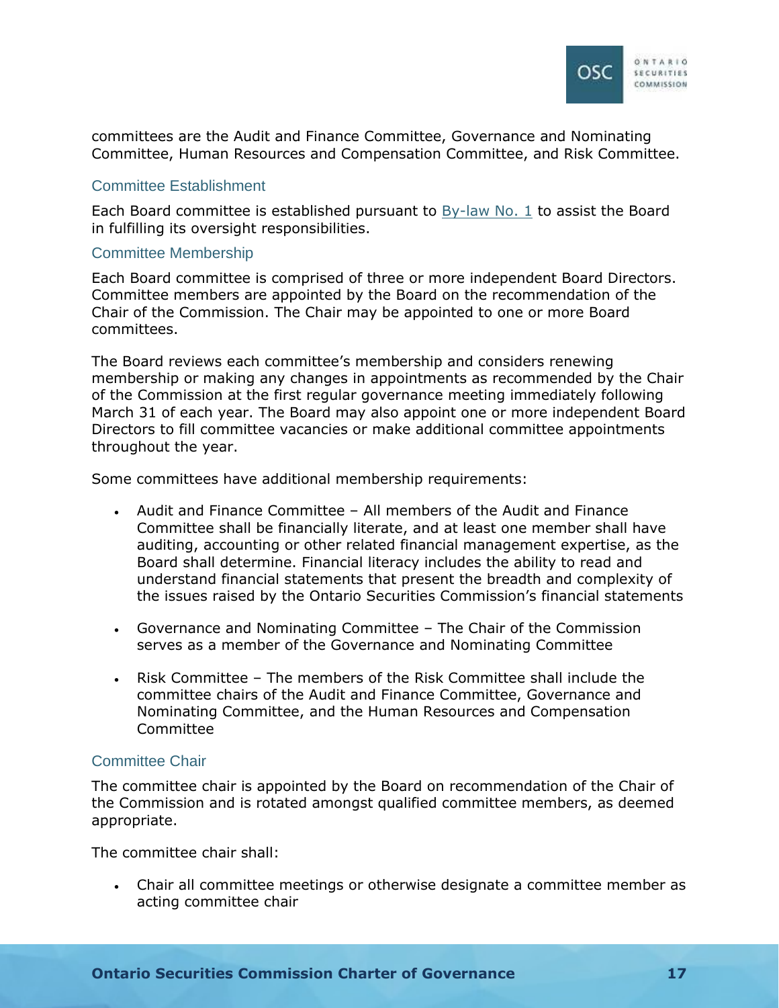

committees are the Audit and Finance Committee, Governance and Nominating Committee, Human Resources and Compensation Committee, and Risk Committee.

#### Committee Establishment

Each Board committee is established pursuant to [By-law No. 1](https://www.osc.ca/en/about-us/governance/osc-law-no-1) to assist the Board in fulfilling its oversight responsibilities.

#### Committee Membership

Each Board committee is comprised of three or more independent Board Directors. Committee members are appointed by the Board on the recommendation of the Chair of the Commission. The Chair may be appointed to one or more Board committees.

The Board reviews each committee's membership and considers renewing membership or making any changes in appointments as recommended by the Chair of the Commission at the first regular governance meeting immediately following March 31 of each year. The Board may also appoint one or more independent Board Directors to fill committee vacancies or make additional committee appointments throughout the year.

Some committees have additional membership requirements:

- Audit and Finance Committee All members of the Audit and Finance Committee shall be financially literate, and at least one member shall have auditing, accounting or other related financial management expertise, as the Board shall determine. Financial literacy includes the ability to read and understand financial statements that present the breadth and complexity of the issues raised by the Ontario Securities Commission's financial statements
- Governance and Nominating Committee The Chair of the Commission serves as a member of the Governance and Nominating Committee
- Risk Committee The members of the Risk Committee shall include the committee chairs of the Audit and Finance Committee, Governance and Nominating Committee, and the Human Resources and Compensation Committee

## Committee Chair

The committee chair is appointed by the Board on recommendation of the Chair of the Commission and is rotated amongst qualified committee members, as deemed appropriate.

The committee chair shall:

 Chair all committee meetings or otherwise designate a committee member as acting committee chair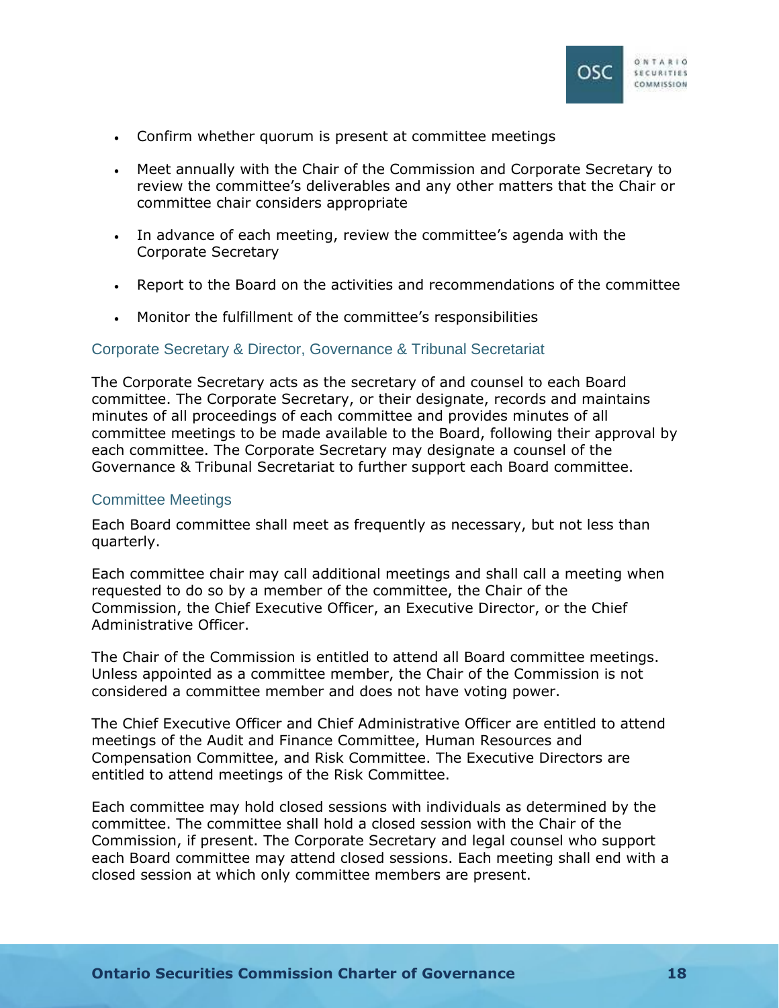

- Confirm whether quorum is present at committee meetings
- Meet annually with the Chair of the Commission and Corporate Secretary to review the committee's deliverables and any other matters that the Chair or committee chair considers appropriate
- In advance of each meeting, review the committee's agenda with the Corporate Secretary
- Report to the Board on the activities and recommendations of the committee
- Monitor the fulfillment of the committee's responsibilities

## Corporate Secretary & Director, Governance & Tribunal Secretariat

The Corporate Secretary acts as the secretary of and counsel to each Board committee. The Corporate Secretary, or their designate, records and maintains minutes of all proceedings of each committee and provides minutes of all committee meetings to be made available to the Board, following their approval by each committee. The Corporate Secretary may designate a counsel of the Governance & Tribunal Secretariat to further support each Board committee.

### Committee Meetings

Each Board committee shall meet as frequently as necessary, but not less than quarterly.

Each committee chair may call additional meetings and shall call a meeting when requested to do so by a member of the committee, the Chair of the Commission, the Chief Executive Officer, an Executive Director, or the Chief Administrative Officer.

The Chair of the Commission is entitled to attend all Board committee meetings. Unless appointed as a committee member, the Chair of the Commission is not considered a committee member and does not have voting power.

The Chief Executive Officer and Chief Administrative Officer are entitled to attend meetings of the Audit and Finance Committee, Human Resources and Compensation Committee, and Risk Committee. The Executive Directors are entitled to attend meetings of the Risk Committee.

Each committee may hold closed sessions with individuals as determined by the committee. The committee shall hold a closed session with the Chair of the Commission, if present. The Corporate Secretary and legal counsel who support each Board committee may attend closed sessions. Each meeting shall end with a closed session at which only committee members are present.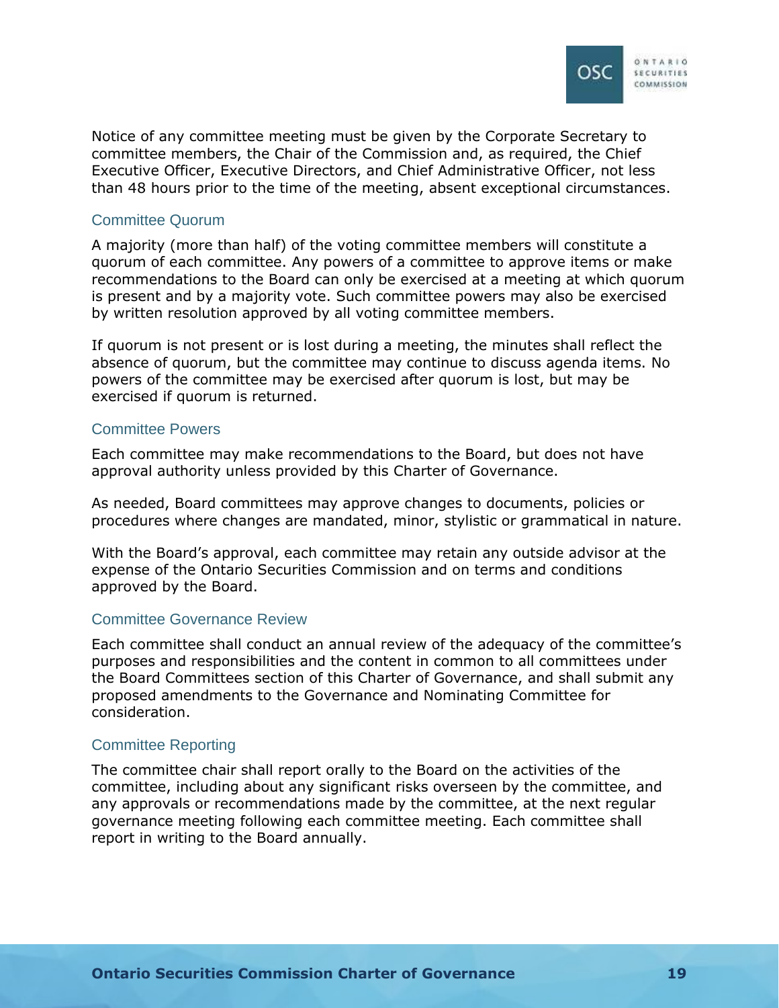

Notice of any committee meeting must be given by the Corporate Secretary to committee members, the Chair of the Commission and, as required, the Chief Executive Officer, Executive Directors, and Chief Administrative Officer, not less than 48 hours prior to the time of the meeting, absent exceptional circumstances.

### Committee Quorum

A majority (more than half) of the voting committee members will constitute a quorum of each committee. Any powers of a committee to approve items or make recommendations to the Board can only be exercised at a meeting at which quorum is present and by a majority vote. Such committee powers may also be exercised by written resolution approved by all voting committee members.

If quorum is not present or is lost during a meeting, the minutes shall reflect the absence of quorum, but the committee may continue to discuss agenda items. No powers of the committee may be exercised after quorum is lost, but may be exercised if quorum is returned.

#### Committee Powers

Each committee may make recommendations to the Board, but does not have approval authority unless provided by this Charter of Governance.

As needed, Board committees may approve changes to documents, policies or procedures where changes are mandated, minor, stylistic or grammatical in nature.

With the Board's approval, each committee may retain any outside advisor at the expense of the Ontario Securities Commission and on terms and conditions approved by the Board.

## Committee Governance Review

Each committee shall conduct an annual review of the adequacy of the committee's purposes and responsibilities and the content in common to all committees under the Board Committees section of this Charter of Governance, and shall submit any proposed amendments to the Governance and Nominating Committee for consideration.

## Committee Reporting

The committee chair shall report orally to the Board on the activities of the committee, including about any significant risks overseen by the committee, and any approvals or recommendations made by the committee, at the next regular governance meeting following each committee meeting. Each committee shall report in writing to the Board annually.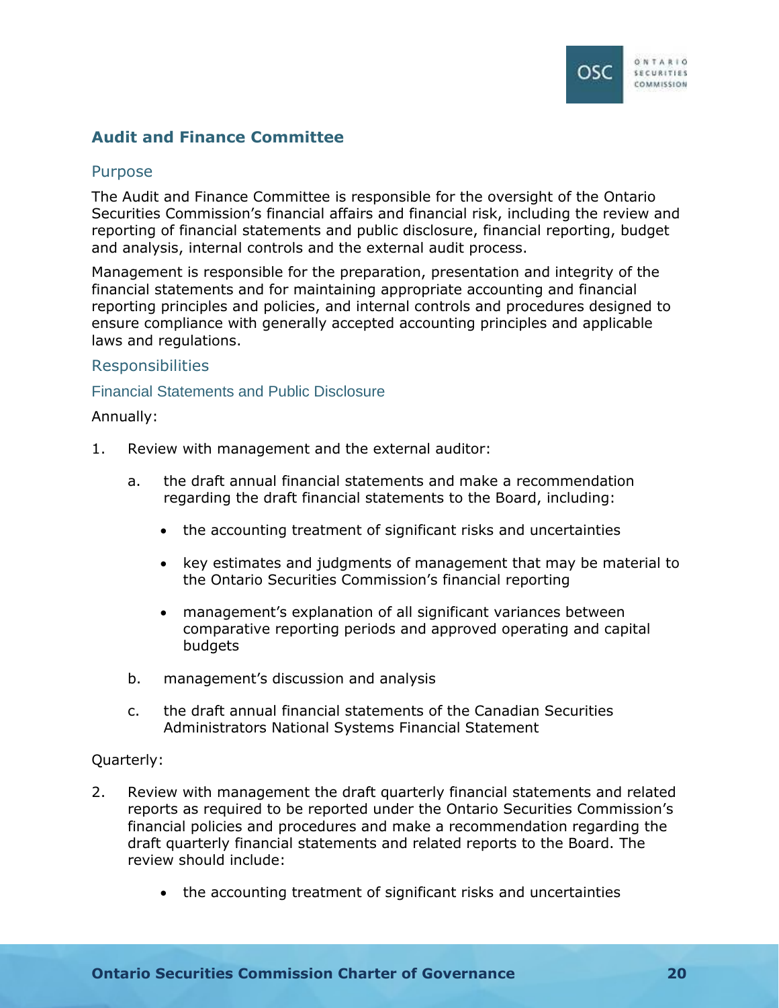

## <span id="page-22-0"></span>**Audit and Finance Committee**

## <span id="page-22-1"></span>Purpose

The Audit and Finance Committee is responsible for the oversight of the Ontario Securities Commission's financial affairs and financial risk, including the review and reporting of financial statements and public disclosure, financial reporting, budget and analysis, internal controls and the external audit process.

Management is responsible for the preparation, presentation and integrity of the financial statements and for maintaining appropriate accounting and financial reporting principles and policies, and internal controls and procedures designed to ensure compliance with generally accepted accounting principles and applicable laws and regulations.

## <span id="page-22-2"></span>Responsibilities

### Financial Statements and Public Disclosure

Annually:

- 1. Review with management and the external auditor:
	- a. the draft annual financial statements and make a recommendation regarding the draft financial statements to the Board, including:
		- the accounting treatment of significant risks and uncertainties
		- key estimates and judgments of management that may be material to the Ontario Securities Commission's financial reporting
		- management's explanation of all significant variances between comparative reporting periods and approved operating and capital budgets
	- b. management's discussion and analysis
	- c. the draft annual financial statements of the Canadian Securities Administrators National Systems Financial Statement

#### Quarterly:

- 2. Review with management the draft quarterly financial statements and related reports as required to be reported under the Ontario Securities Commission's financial policies and procedures and make a recommendation regarding the draft quarterly financial statements and related reports to the Board. The review should include:
	- the accounting treatment of significant risks and uncertainties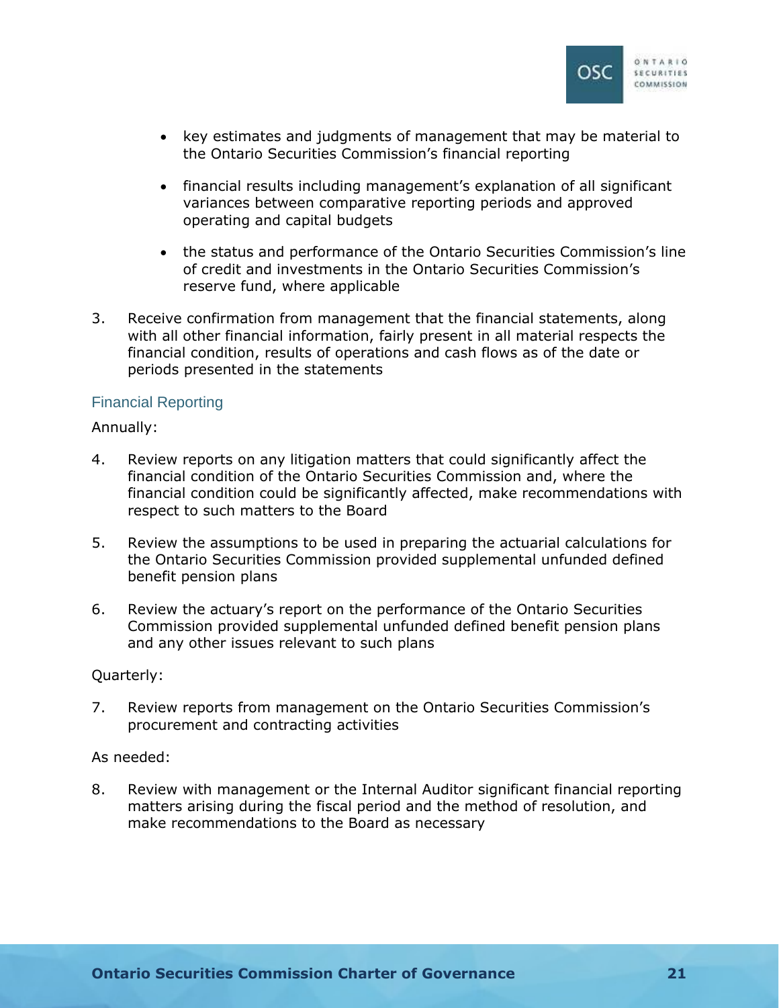

- key estimates and judgments of management that may be material to the Ontario Securities Commission's financial reporting
- financial results including management's explanation of all significant variances between comparative reporting periods and approved operating and capital budgets
- the status and performance of the Ontario Securities Commission's line of credit and investments in the Ontario Securities Commission's reserve fund, where applicable
- 3. Receive confirmation from management that the financial statements, along with all other financial information, fairly present in all material respects the financial condition, results of operations and cash flows as of the date or periods presented in the statements

## Financial Reporting

### Annually:

- 4. Review reports on any litigation matters that could significantly affect the financial condition of the Ontario Securities Commission and, where the financial condition could be significantly affected, make recommendations with respect to such matters to the Board
- 5. Review the assumptions to be used in preparing the actuarial calculations for the Ontario Securities Commission provided supplemental unfunded defined benefit pension plans
- 6. Review the actuary's report on the performance of the Ontario Securities Commission provided supplemental unfunded defined benefit pension plans and any other issues relevant to such plans

#### Quarterly:

7. Review reports from management on the Ontario Securities Commission's procurement and contracting activities

## As needed:

8. Review with management or the Internal Auditor significant financial reporting matters arising during the fiscal period and the method of resolution, and make recommendations to the Board as necessary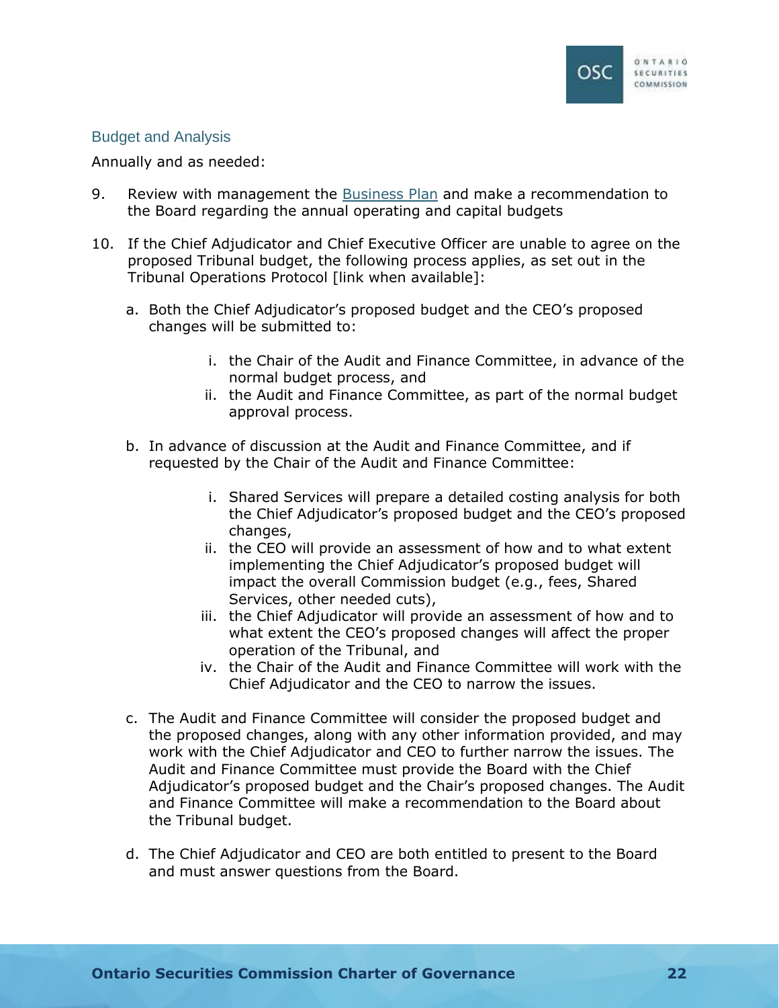

## Budget and Analysis

#### Annually and as needed:

- 9. Review with management the [Business Plan](https://www.osc.ca/en/about-us/accountability/osc-business-plan) and make a recommendation to the Board regarding the annual operating and capital budgets
- 10. If the Chief Adjudicator and Chief Executive Officer are unable to agree on the proposed Tribunal budget, the following process applies, as set out in the Tribunal Operations Protocol [link when available]:
	- a. Both the Chief Adjudicator's proposed budget and the CEO's proposed changes will be submitted to:
		- i. the Chair of the Audit and Finance Committee, in advance of the normal budget process, and
		- ii. the Audit and Finance Committee, as part of the normal budget approval process.
	- b. In advance of discussion at the Audit and Finance Committee, and if requested by the Chair of the Audit and Finance Committee:
		- i. Shared Services will prepare a detailed costing analysis for both the Chief Adjudicator's proposed budget and the CEO's proposed changes,
		- ii. the CEO will provide an assessment of how and to what extent implementing the Chief Adjudicator's proposed budget will impact the overall Commission budget (e.g., fees, Shared Services, other needed cuts),
		- iii. the Chief Adjudicator will provide an assessment of how and to what extent the CEO's proposed changes will affect the proper operation of the Tribunal, and
		- iv. the Chair of the Audit and Finance Committee will work with the Chief Adjudicator and the CEO to narrow the issues.
	- c. The Audit and Finance Committee will consider the proposed budget and the proposed changes, along with any other information provided, and may work with the Chief Adjudicator and CEO to further narrow the issues. The Audit and Finance Committee must provide the Board with the Chief Adjudicator's proposed budget and the Chair's proposed changes. The Audit and Finance Committee will make a recommendation to the Board about the Tribunal budget.
	- d. The Chief Adjudicator and CEO are both entitled to present to the Board and must answer questions from the Board.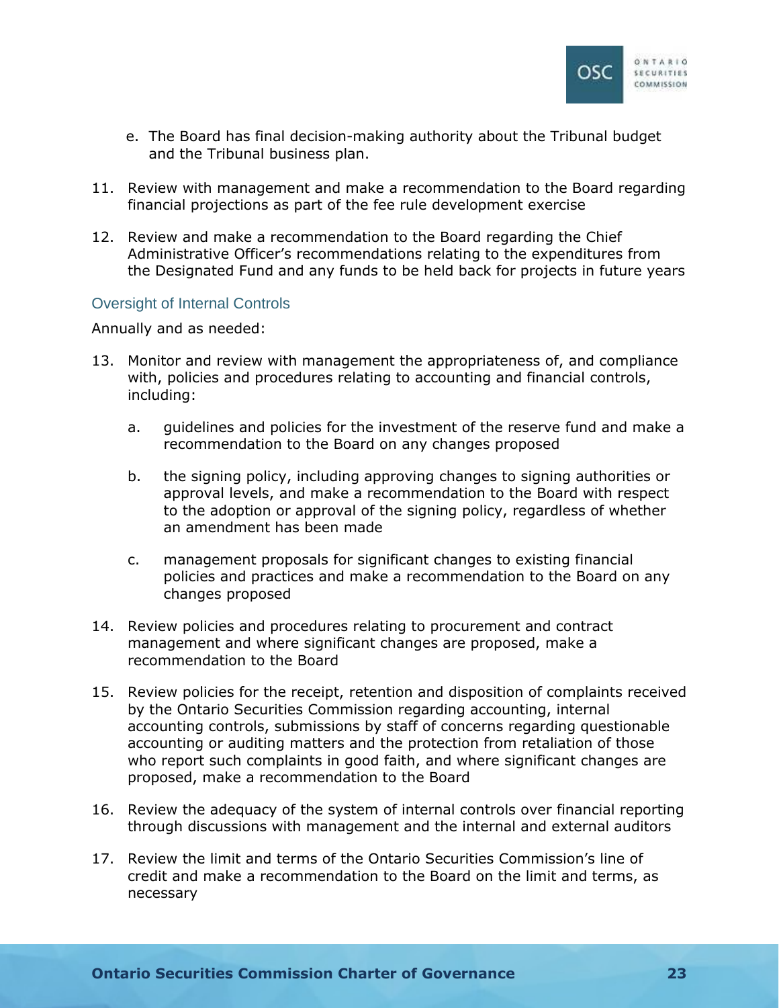

- e. The Board has final decision-making authority about the Tribunal budget and the Tribunal business plan.
- 11. Review with management and make a recommendation to the Board regarding financial projections as part of the fee rule development exercise
- 12. Review and make a recommendation to the Board regarding the Chief Administrative Officer's recommendations relating to the expenditures from the Designated Fund and any funds to be held back for projects in future years

## Oversight of Internal Controls

Annually and as needed:

- 13. Monitor and review with management the appropriateness of, and compliance with, policies and procedures relating to accounting and financial controls, including:
	- a. guidelines and policies for the investment of the reserve fund and make a recommendation to the Board on any changes proposed
	- b. the signing policy, including approving changes to signing authorities or approval levels, and make a recommendation to the Board with respect to the adoption or approval of the signing policy, regardless of whether an amendment has been made
	- c. management proposals for significant changes to existing financial policies and practices and make a recommendation to the Board on any changes proposed
- 14. Review policies and procedures relating to procurement and contract management and where significant changes are proposed, make a recommendation to the Board
- 15. Review policies for the receipt, retention and disposition of complaints received by the Ontario Securities Commission regarding accounting, internal accounting controls, submissions by staff of concerns regarding questionable accounting or auditing matters and the protection from retaliation of those who report such complaints in good faith, and where significant changes are proposed, make a recommendation to the Board
- 16. Review the adequacy of the system of internal controls over financial reporting through discussions with management and the internal and external auditors
- 17. Review the limit and terms of the Ontario Securities Commission's line of credit and make a recommendation to the Board on the limit and terms, as necessary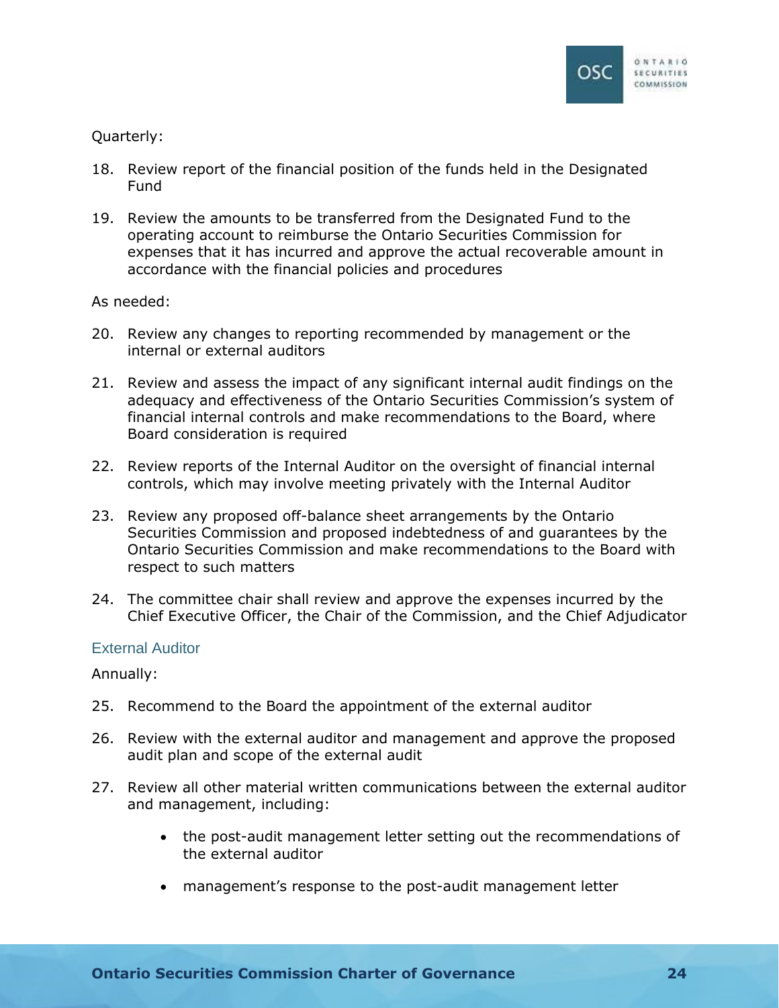

## Quarterly:

- 18. Review report of the financial position of the funds held in the Designated Fund
- 19. Review the amounts to be transferred from the Designated Fund to the operating account to reimburse the Ontario Securities Commission for expenses that it has incurred and approve the actual recoverable amount in accordance with the financial policies and procedures

### As needed:

- 20. Review any changes to reporting recommended by management or the internal or external auditors
- 21. Review and assess the impact of any significant internal audit findings on the adequacy and effectiveness of the Ontario Securities Commission's system of financial internal controls and make recommendations to the Board, where Board consideration is required
- 22. Review reports of the Internal Auditor on the oversight of financial internal controls, which may involve meeting privately with the Internal Auditor
- 23. Review any proposed off-balance sheet arrangements by the Ontario Securities Commission and proposed indebtedness of and guarantees by the Ontario Securities Commission and make recommendations to the Board with respect to such matters
- 24. The committee chair shall review and approve the expenses incurred by the Chief Executive Officer, the Chair of the Commission, and the Chief Adjudicator

## External Auditor

Annually:

- 25. Recommend to the Board the appointment of the external auditor
- 26. Review with the external auditor and management and approve the proposed audit plan and scope of the external audit
- 27. Review all other material written communications between the external auditor and management, including:
	- the post-audit management letter setting out the recommendations of the external auditor
	- management's response to the post-audit management letter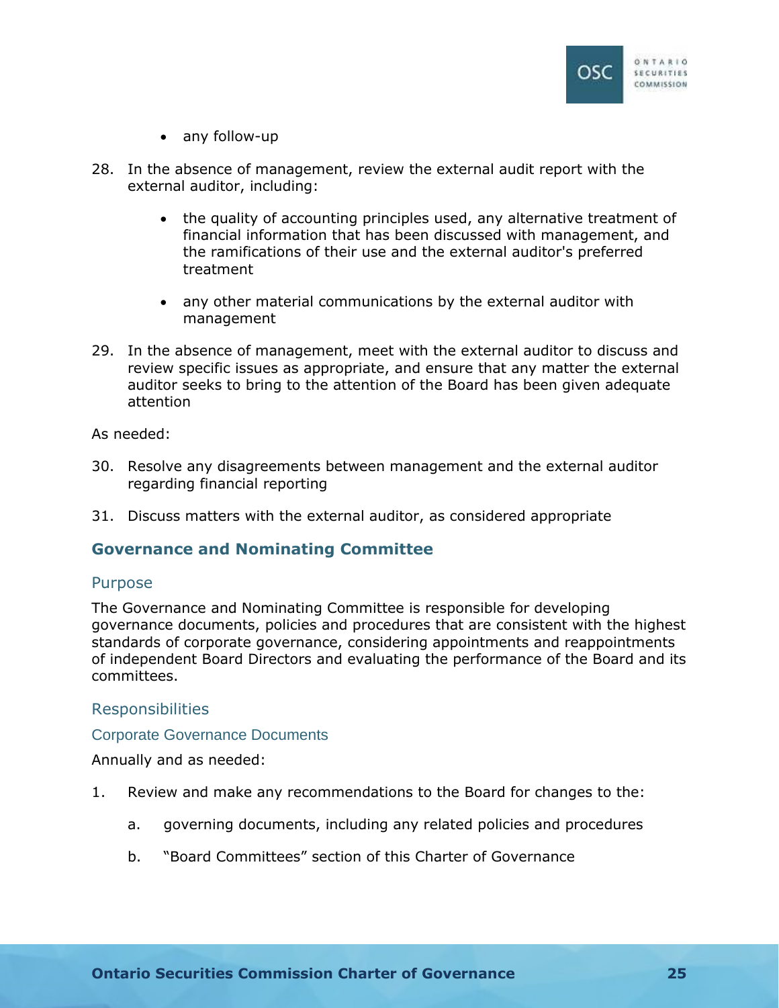

- any follow-up
- 28. In the absence of management, review the external audit report with the external auditor, including:
	- the quality of accounting principles used, any alternative treatment of financial information that has been discussed with management, and the ramifications of their use and the external auditor's preferred treatment
	- any other material communications by the external auditor with management
- 29. In the absence of management, meet with the external auditor to discuss and review specific issues as appropriate, and ensure that any matter the external auditor seeks to bring to the attention of the Board has been given adequate attention

As needed:

- 30. Resolve any disagreements between management and the external auditor regarding financial reporting
- 31. Discuss matters with the external auditor, as considered appropriate

## <span id="page-27-0"></span>**Governance and Nominating Committee**

#### <span id="page-27-1"></span>Purpose

The Governance and Nominating Committee is responsible for developing governance documents, policies and procedures that are consistent with the highest standards of corporate governance, considering appointments and reappointments of independent Board Directors and evaluating the performance of the Board and its committees.

## <span id="page-27-2"></span>Responsibilities

#### Corporate Governance Documents

Annually and as needed:

- 1. Review and make any recommendations to the Board for changes to the:
	- a. governing documents, including any related policies and procedures
	- b. "Board Committees" section of this Charter of Governance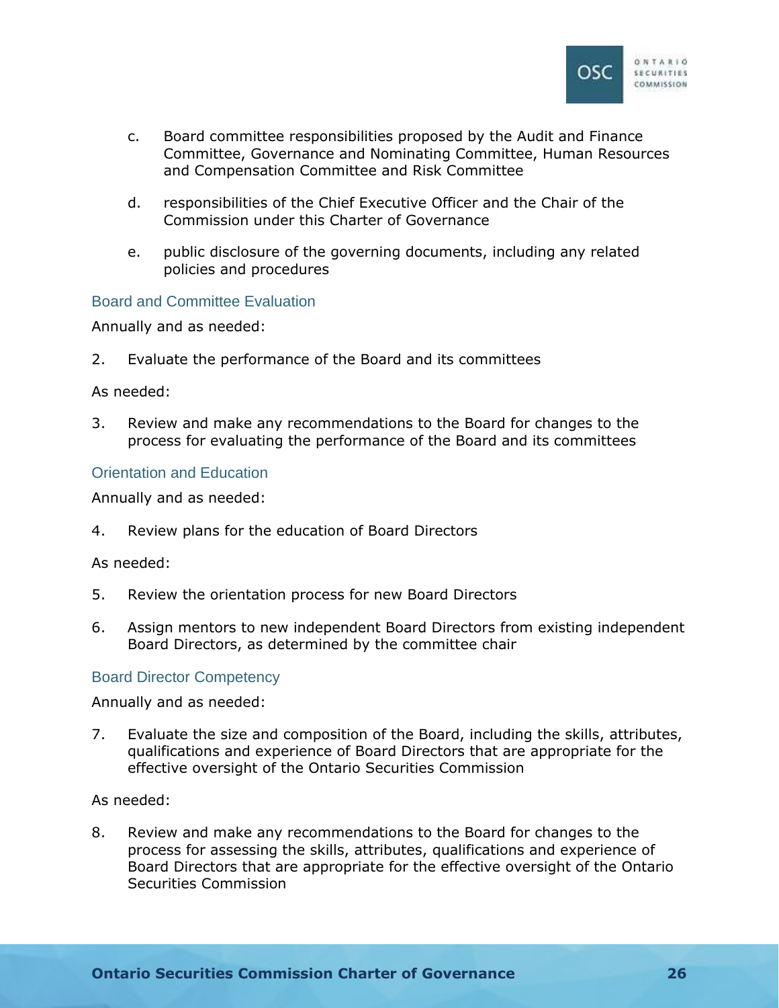

- c. Board committee responsibilities proposed by the Audit and Finance Committee, Governance and Nominating Committee, Human Resources and Compensation Committee and Risk Committee
- d. responsibilities of the Chief Executive Officer and the Chair of the Commission under this Charter of Governance
- e. public disclosure of the governing documents, including any related policies and procedures

## Board and Committee Evaluation

Annually and as needed:

2. Evaluate the performance of the Board and its committees

#### As needed:

3. Review and make any recommendations to the Board for changes to the process for evaluating the performance of the Board and its committees

## Orientation and Education

Annually and as needed:

4. Review plans for the education of Board Directors

As needed:

- 5. Review the orientation process for new Board Directors
- 6. Assign mentors to new independent Board Directors from existing independent Board Directors, as determined by the committee chair

## Board Director Competency

Annually and as needed:

7. Evaluate the size and composition of the Board, including the skills, attributes, qualifications and experience of Board Directors that are appropriate for the effective oversight of the Ontario Securities Commission

As needed:

8. Review and make any recommendations to the Board for changes to the process for assessing the skills, attributes, qualifications and experience of Board Directors that are appropriate for the effective oversight of the Ontario Securities Commission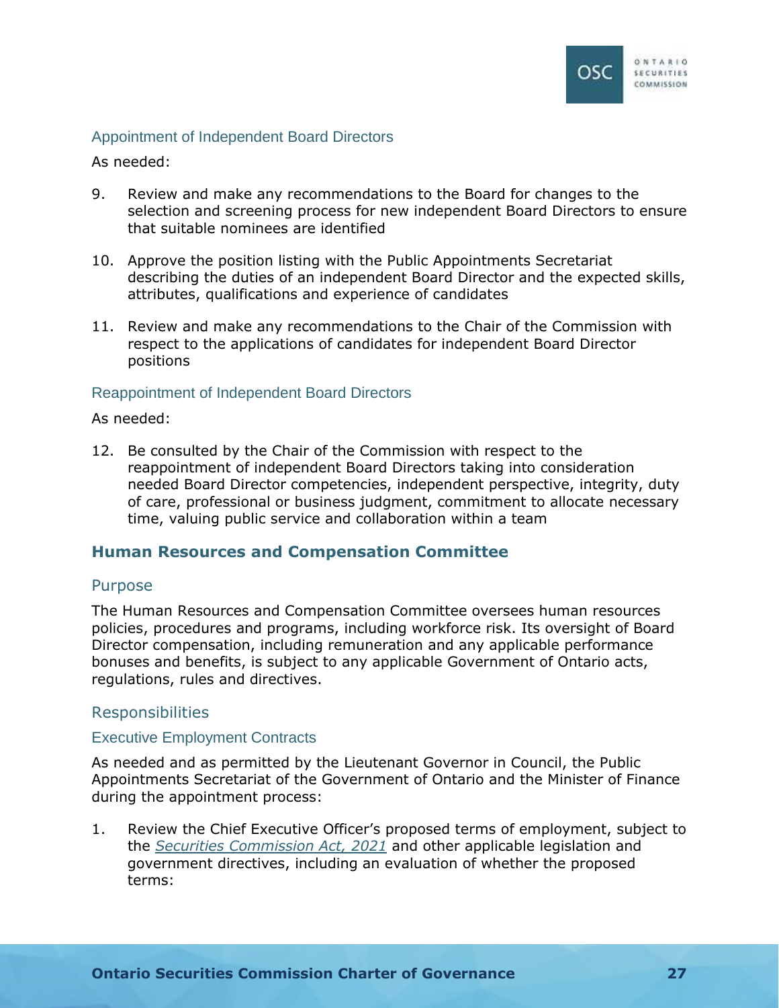

## Appointment of Independent Board Directors

As needed:

- 9. Review and make any recommendations to the Board for changes to the selection and screening process for new independent Board Directors to ensure that suitable nominees are identified
- 10. Approve the position listing with the Public Appointments Secretariat describing the duties of an independent Board Director and the expected skills, attributes, qualifications and experience of candidates
- 11. Review and make any recommendations to the Chair of the Commission with respect to the applications of candidates for independent Board Director positions

## Reappointment of Independent Board Directors

### As needed:

12. Be consulted by the Chair of the Commission with respect to the reappointment of independent Board Directors taking into consideration needed Board Director competencies, independent perspective, integrity, duty of care, professional or business judgment, commitment to allocate necessary time, valuing public service and collaboration within a team

## <span id="page-29-0"></span>**Human Resources and Compensation Committee**

#### <span id="page-29-1"></span>Purpose

The Human Resources and Compensation Committee oversees human resources policies, procedures and programs, including workforce risk. Its oversight of Board Director compensation, including remuneration and any applicable performance bonuses and benefits, is subject to any applicable Government of Ontario acts, regulations, rules and directives.

## <span id="page-29-2"></span>Responsibilities

## Executive Employment Contracts

As needed and as permitted by the Lieutenant Governor in Council, the Public Appointments Secretariat of the Government of Ontario and the Minister of Finance during the appointment process:

1. Review the Chief Executive Officer's proposed terms of employment, subject to the *[Securities Commission Act, 2021](https://www.ontario.ca/laws/statute/21s08)* and other applicable legislation and government directives, including an evaluation of whether the proposed terms: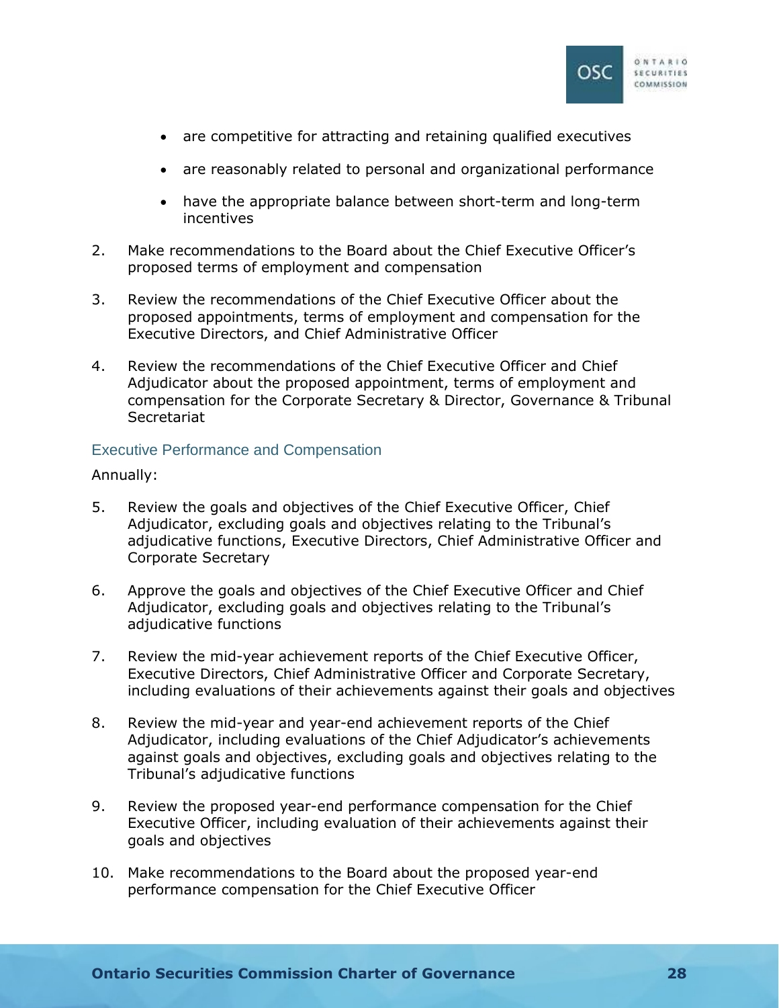

- are competitive for attracting and retaining qualified executives
- are reasonably related to personal and organizational performance
- have the appropriate balance between short-term and long-term incentives
- 2. Make recommendations to the Board about the Chief Executive Officer's proposed terms of employment and compensation
- 3. Review the recommendations of the Chief Executive Officer about the proposed appointments, terms of employment and compensation for the Executive Directors, and Chief Administrative Officer
- 4. Review the recommendations of the Chief Executive Officer and Chief Adjudicator about the proposed appointment, terms of employment and compensation for the Corporate Secretary & Director, Governance & Tribunal **Secretariat**

## Executive Performance and Compensation

Annually:

- 5. Review the goals and objectives of the Chief Executive Officer, Chief Adjudicator, excluding goals and objectives relating to the Tribunal's adjudicative functions, Executive Directors, Chief Administrative Officer and Corporate Secretary
- 6. Approve the goals and objectives of the Chief Executive Officer and Chief Adjudicator, excluding goals and objectives relating to the Tribunal's adjudicative functions
- 7. Review the mid-year achievement reports of the Chief Executive Officer, Executive Directors, Chief Administrative Officer and Corporate Secretary, including evaluations of their achievements against their goals and objectives
- 8. Review the mid-year and year-end achievement reports of the Chief Adjudicator, including evaluations of the Chief Adjudicator's achievements against goals and objectives, excluding goals and objectives relating to the Tribunal's adjudicative functions
- 9. Review the proposed year-end performance compensation for the Chief Executive Officer, including evaluation of their achievements against their goals and objectives
- 10. Make recommendations to the Board about the proposed year-end performance compensation for the Chief Executive Officer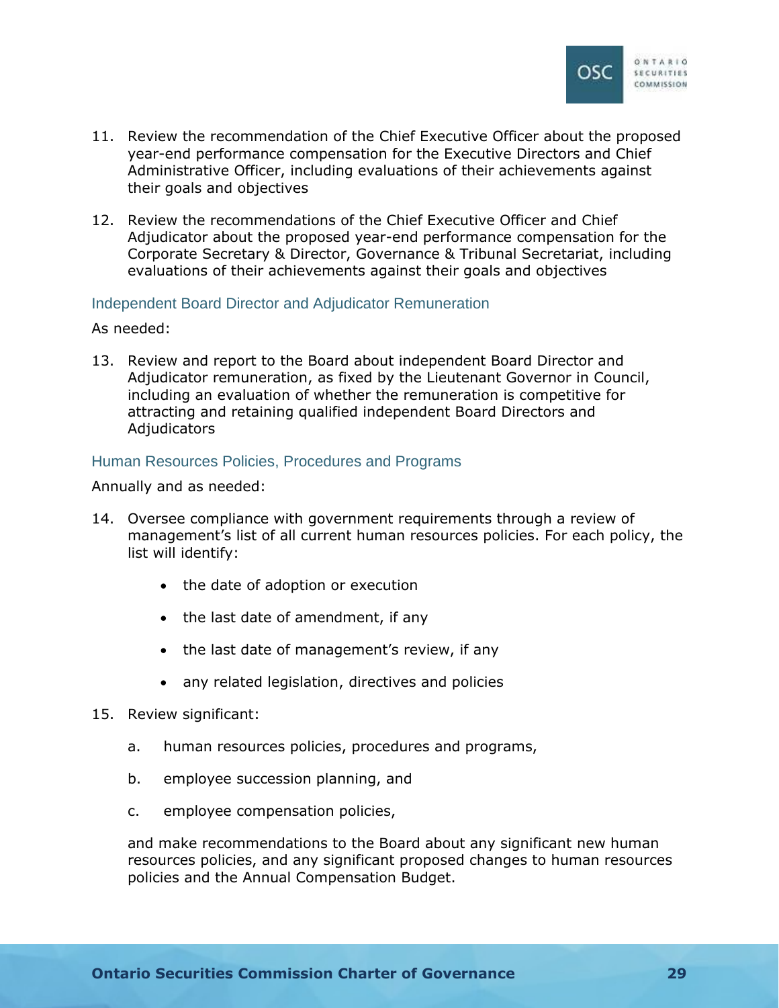

- 11. Review the recommendation of the Chief Executive Officer about the proposed year-end performance compensation for the Executive Directors and Chief Administrative Officer, including evaluations of their achievements against their goals and objectives
- 12. Review the recommendations of the Chief Executive Officer and Chief Adjudicator about the proposed year-end performance compensation for the Corporate Secretary & Director, Governance & Tribunal Secretariat, including evaluations of their achievements against their goals and objectives

### Independent Board Director and Adjudicator Remuneration

As needed:

13. Review and report to the Board about independent Board Director and Adjudicator remuneration, as fixed by the Lieutenant Governor in Council, including an evaluation of whether the remuneration is competitive for attracting and retaining qualified independent Board Directors and **Adjudicators** 

### Human Resources Policies, Procedures and Programs

Annually and as needed:

- 14. Oversee compliance with government requirements through a review of management's list of all current human resources policies. For each policy, the list will identify:
	- the date of adoption or execution
	- the last date of amendment, if any
	- the last date of management's review, if any
	- any related legislation, directives and policies
- 15. Review significant:
	- a. human resources policies, procedures and programs,
	- b. employee succession planning, and
	- c. employee compensation policies,

and make recommendations to the Board about any significant new human resources policies, and any significant proposed changes to human resources policies and the Annual Compensation Budget.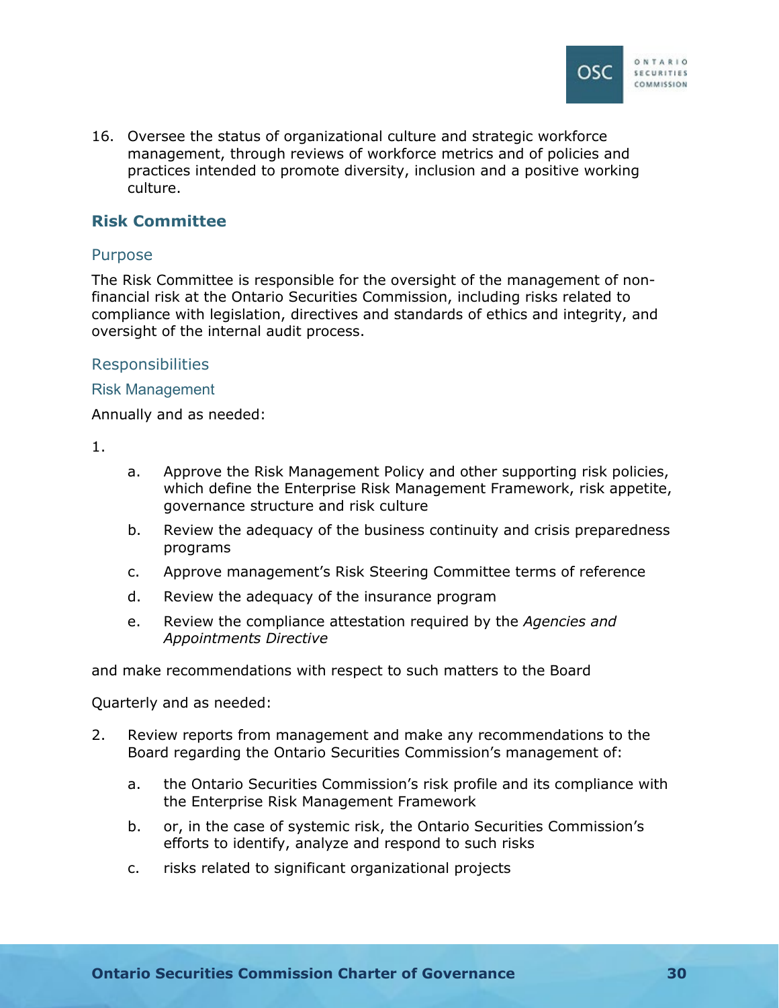

16. Oversee the status of organizational culture and strategic workforce management, through reviews of workforce metrics and of policies and practices intended to promote diversity, inclusion and a positive working culture.

## **Risk Committee**

## Purpose

The Risk Committee is responsible for the oversight of the management of nonfinancial risk at the Ontario Securities Commission, including risks related to compliance with legislation, directives and standards of ethics and integrity, and oversight of the internal audit process.

## Responsibilities

### Risk Management

Annually and as needed:

1.

- a. Approve the Risk Management Policy and other supporting risk policies, which define the Enterprise Risk Management Framework, risk appetite, governance structure and risk culture
- b. Review the adequacy of the business continuity and crisis preparedness programs
- c. Approve management's Risk Steering Committee terms of reference
- d. Review the adequacy of the insurance program
- e. Review the compliance attestation required by the *Agencies and Appointments Directive*

and make recommendations with respect to such matters to the Board

Quarterly and as needed:

- 2. Review reports from management and make any recommendations to the Board regarding the Ontario Securities Commission's management of:
	- a. the Ontario Securities Commission's risk profile and its compliance with the Enterprise Risk Management Framework
	- b. or, in the case of systemic risk, the Ontario Securities Commission's efforts to identify, analyze and respond to such risks
	- c. risks related to significant organizational projects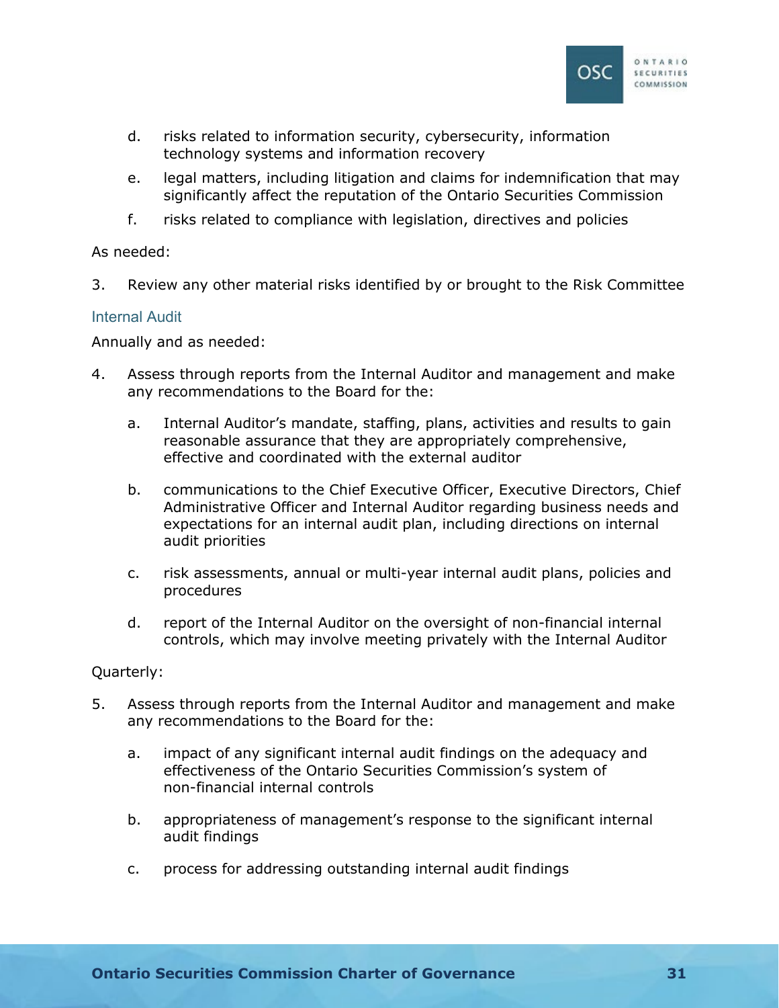

- d. risks related to information security, cybersecurity, information technology systems and information recovery
- e. legal matters, including litigation and claims for indemnification that may significantly affect the reputation of the Ontario Securities Commission
- f. risks related to compliance with legislation, directives and policies

## As needed:

3. Review any other material risks identified by or brought to the Risk Committee

## Internal Audit

Annually and as needed:

- 4. Assess through reports from the Internal Auditor and management and make any recommendations to the Board for the:
	- a. Internal Auditor's mandate, staffing, plans, activities and results to gain reasonable assurance that they are appropriately comprehensive, effective and coordinated with the external auditor
	- b. communications to the Chief Executive Officer, Executive Directors, Chief Administrative Officer and Internal Auditor regarding business needs and expectations for an internal audit plan, including directions on internal audit priorities
	- c. risk assessments, annual or multi-year internal audit plans, policies and procedures
	- d. report of the Internal Auditor on the oversight of non-financial internal controls, which may involve meeting privately with the Internal Auditor

## Quarterly:

- 5. Assess through reports from the Internal Auditor and management and make any recommendations to the Board for the:
	- a. impact of any significant internal audit findings on the adequacy and effectiveness of the Ontario Securities Commission's system of non-financial internal controls
	- b. appropriateness of management's response to the significant internal audit findings
	- c. process for addressing outstanding internal audit findings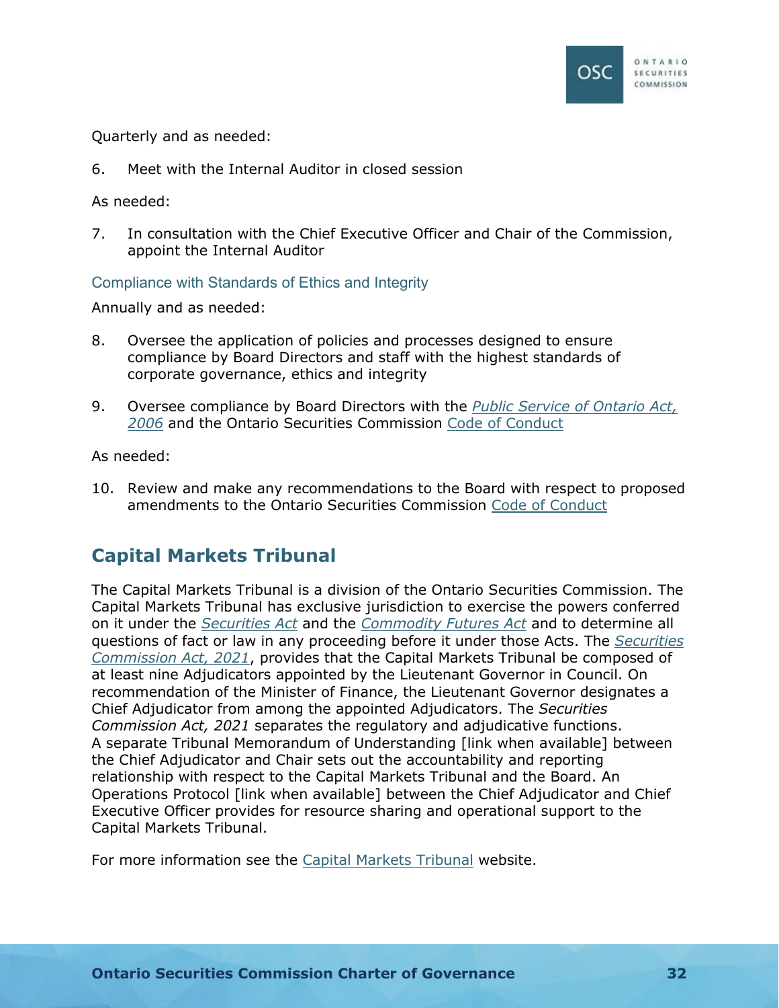

Quarterly and as needed:

6. Meet with the Internal Auditor in closed session

As needed:

7. In consultation with the Chief Executive Officer and Chair of the Commission, appoint the Internal Auditor

Compliance with Standards of Ethics and Integrity

Annually and as needed:

- 8. Oversee the application of policies and processes designed to ensure compliance by Board Directors and staff with the highest standards of corporate governance, ethics and integrity
- 9. Oversee compliance by Board Directors with the *[Public Service of Ontario Act,](https://www.ontario.ca/laws/statute/06p35)  [2006](https://www.ontario.ca/laws/statute/06p35)* and the Ontario Securities Commission [Code of Conduct](https://www.osc.ca/sites/default/files/2020-12/ga_20200915_osc-code-conduct.pdf)

As needed:

10. Review and make any recommendations to the Board with respect to proposed amendments to the Ontario Securities Commission [Code of Conduct](https://www.osc.ca/sites/default/files/2020-12/ga_20200915_osc-code-conduct.pdf)

## **Capital Markets Tribunal**

The Capital Markets Tribunal is a division of the Ontario Securities Commission. The Capital Markets Tribunal has exclusive jurisdiction to exercise the powers conferred on it under the *[Securities Act](https://www.ontario.ca/laws/statute/90s05)* and the *[Commodity Futures Act](https://www.ontario.ca/laws/statute/90c20)* and to determine all questions of fact or law in any proceeding before it under those Acts. The *[Securities](https://www.ontario.ca/laws/statute/21s08)  [Commission Act, 2021](https://www.ontario.ca/laws/statute/21s08)*, provides that the Capital Markets Tribunal be composed of at least nine Adjudicators appointed by the Lieutenant Governor in Council. On recommendation of the Minister of Finance, the Lieutenant Governor designates a Chief Adjudicator from among the appointed Adjudicators. The *Securities Commission Act, 2021* separates the regulatory and adjudicative functions. A separate Tribunal Memorandum of Understanding [link when available] between the Chief Adjudicator and Chair sets out the accountability and reporting relationship with respect to the Capital Markets Tribunal and the Board. An Operations Protocol [link when available] between the Chief Adjudicator and Chief Executive Officer provides for resource sharing and operational support to the Capital Markets Tribunal.

For more information see the [Capital Markets Tribunal](https://www.capitalmarketstribunal.ca/en) website.